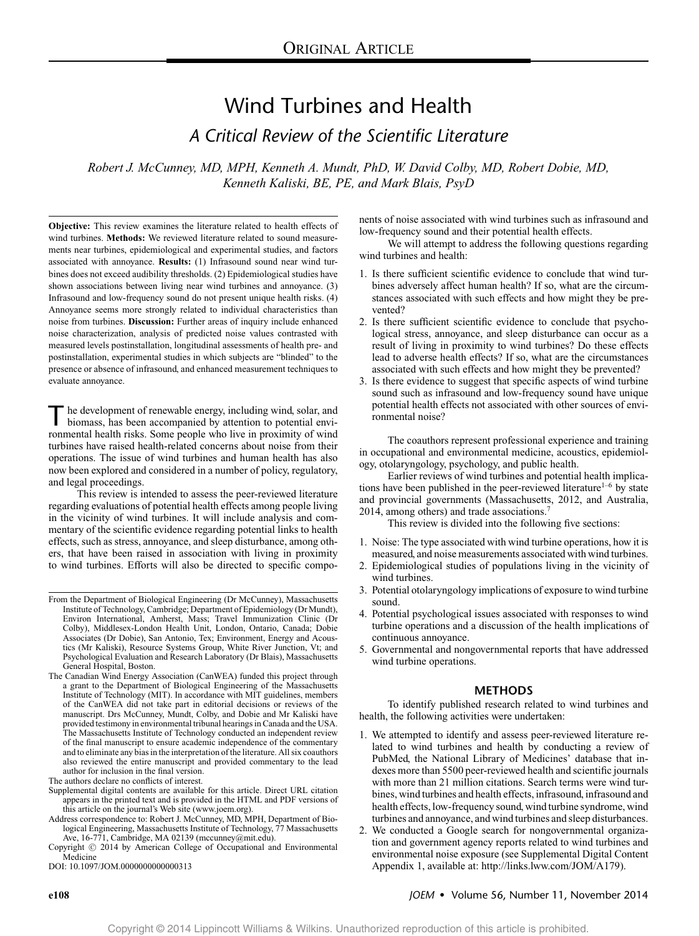# Wind Turbines and Health *A Critical Review of the Scientific Literature*

*Robert J. McCunney, MD, MPH, Kenneth A. Mundt, PhD, W. David Colby, MD, Robert Dobie, MD, Kenneth Kaliski, BE, PE, and Mark Blais, PsyD*

**Objective:** This review examines the literature related to health effects of wind turbines. **Methods:** We reviewed literature related to sound measurements near turbines, epidemiological and experimental studies, and factors associated with annoyance. **Results:** (1) Infrasound sound near wind turbines does not exceed audibility thresholds. (2) Epidemiological studies have shown associations between living near wind turbines and annoyance. (3) Infrasound and low-frequency sound do not present unique health risks. (4) Annoyance seems more strongly related to individual characteristics than noise from turbines. **Discussion:** Further areas of inquiry include enhanced noise characterization, analysis of predicted noise values contrasted with measured levels postinstallation, longitudinal assessments of health pre- and postinstallation, experimental studies in which subjects are "blinded" to the presence or absence of infrasound, and enhanced measurement techniques to evaluate annoyance.

The development of renewable energy, including wind, solar, and biomass, has been accompanied by attention to potential environmental health risks. Some people who live in proximity of wind turbines have raised health-related concerns about noise from their operations. The issue of wind turbines and human health has also now been explored and considered in a number of policy, regulatory, and legal proceedings.

This review is intended to assess the peer-reviewed literature regarding evaluations of potential health effects among people living in the vicinity of wind turbines. It will include analysis and commentary of the scientific evidence regarding potential links to health effects, such as stress, annoyance, and sleep disturbance, among others, that have been raised in association with living in proximity to wind turbines. Efforts will also be directed to specific compo-

- From the Department of Biological Engineering (Dr McCunney), Massachusetts Institute of Technology, Cambridge; Department of Epidemiology (Dr Mundt), Environ International, Amherst, Mass; Travel Immunization Clinic (Dr Colby), Middlesex-London Health Unit, London, Ontario, Canada; Dobie Associates (Dr Dobie), San Antonio, Tex; Environment, Energy and Acoustics (Mr Kaliski), Resource Systems Group, White River Junction, Vt; and Psychological Evaluation and Research Laboratory (Dr Blais), Massachusetts General Hospital, Boston.
- The Canadian Wind Energy Association (CanWEA) funded this project through a grant to the Department of Biological Engineering of the Massachusetts Institute of Technology (MIT). In accordance with MIT guidelines, members of the CanWEA did not take part in editorial decisions or reviews of the manuscript. Drs McCunney, Mundt, Colby, and Dobie and Mr Kaliski have provided testimony in environmental tribunal hearings in Canada and the USA. The Massachusetts Institute of Technology conducted an independent review of the final manuscript to ensure academic independence of the commentary and to eliminate any bias in the interpretation of the literature. All six coauthors also reviewed the entire manuscript and provided commentary to the lead author for inclusion in the final version.

The authors declare no conflicts of interest.

- Supplemental digital contents are available for this article. Direct URL citation appears in the printed text and is provided in the HTML and PDF versions of this article on the journal's Web site [\(www.joem.org\)](http://www.joem.org). Address correspondence to: Robert J. McCunney, MD, MPH, Department of Bio-
- logical Engineering, Massachusetts Institute of Technology, 77 Massachusetts Ave, 16-771, Cambridge, MA 02139 [\(mccunney@mit.edu\)](mailto:mccunney@mit.edu).
- Copyright  $\odot$  2014 by American College of Occupational and Environmental Medicine

DOI: 10.1097/JOM.0000000000000313

nents of noise associated with wind turbines such as infrasound and low-frequency sound and their potential health effects.

We will attempt to address the following questions regarding wind turbines and health:

- 1. Is there sufficient scientific evidence to conclude that wind turbines adversely affect human health? If so, what are the circumstances associated with such effects and how might they be prevented?
- 2. Is there sufficient scientific evidence to conclude that psychological stress, annoyance, and sleep disturbance can occur as a result of living in proximity to wind turbines? Do these effects lead to adverse health effects? If so, what are the circumstances associated with such effects and how might they be prevented?
- 3. Is there evidence to suggest that specific aspects of wind turbine sound such as infrasound and low-frequency sound have unique potential health effects not associated with other sources of environmental noise?

The coauthors represent professional experience and training in occupational and environmental medicine, acoustics, epidemiology, otolaryngology, psychology, and public health.

Earlier reviews of wind turbines and potential health implications have been published in the peer-reviewed literature<sup>1–6</sup> by state and provincial governments (Massachusetts, 2012, and Australia, 2014, among others) and trade associations.7

This review is divided into the following five sections:

- 1. Noise: The type associated with wind turbine operations, how it is measured, and noise measurements associated with wind turbines.
- 2. Epidemiological studies of populations living in the vicinity of wind turbines.
- 3. Potential otolaryngology implications of exposure to wind turbine sound.
- 4. Potential psychological issues associated with responses to wind turbine operations and a discussion of the health implications of continuous annoyance.
- 5. Governmental and nongovernmental reports that have addressed wind turbine operations.

#### **METHODS**

To identify published research related to wind turbines and health, the following activities were undertaken:

- 1. We attempted to identify and assess peer-reviewed literature related to wind turbines and health by conducting a review of PubMed, the National Library of Medicines' database that indexes more than 5500 peer-reviewed health and scientific journals with more than 21 million citations. Search terms were wind turbines, wind turbines and health effects, infrasound, infrasound and health effects, low-frequency sound, wind turbine syndrome, wind turbines and annoyance, and wind turbines and sleep disturbances.
- 2. We conducted a Google search for nongovernmental organization and government agency reports related to wind turbines and environmental noise exposure (see Supplemental Digital Content Appendix 1, available at: [http://links.lww.com/JOM/A179\)](http://links.lww.com/JOM/A179).

#### **e108** *JOEM* -Volume 56, Number 11, November 2014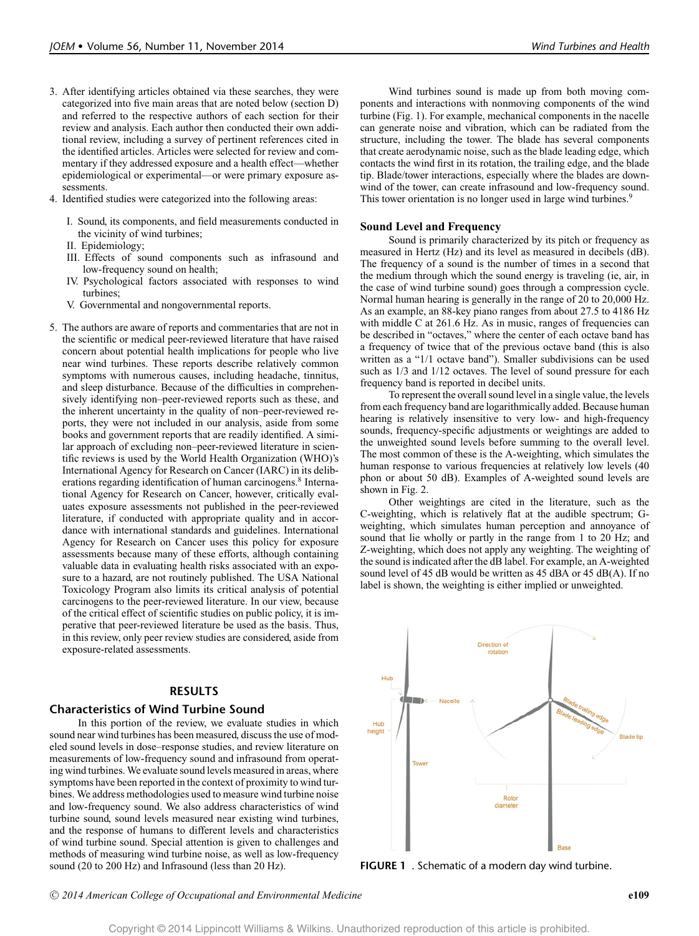- 3. After identifying articles obtained via these searches, they were categorized into five main areas that are noted below (section D) and referred to the respective authors of each section for their review and analysis. Each author then conducted their own additional review, including a survey of pertinent references cited in the identified articles. Articles were selected for review and commentary if they addressed exposure and a health effect—whether epidemiological or experimental—or were primary exposure assessments.
- 4. Identified studies were categorized into the following areas:
	- I. Sound, its components, and field measurements conducted in the vicinity of wind turbines;
	- II. Epidemiology;
	- III. Effects of sound components such as infrasound and low-frequency sound on health;
	- IV. Psychological factors associated with responses to wind turbines;
	- V. Governmental and nongovernmental reports.
- 5. The authors are aware of reports and commentaries that are not in the scientific or medical peer-reviewed literature that have raised concern about potential health implications for people who live near wind turbines. These reports describe relatively common symptoms with numerous causes, including headache, tinnitus, and sleep disturbance. Because of the difficulties in comprehensively identifying non–peer-reviewed reports such as these, and the inherent uncertainty in the quality of non–peer-reviewed reports, they were not included in our analysis, aside from some books and government reports that are readily identified. A similar approach of excluding non–peer-reviewed literature in scientific reviews is used by the World Health Organization (WHO)'s International Agency for Research on Cancer (IARC) in its deliberations regarding identification of human carcinogens.<sup>8</sup> International Agency for Research on Cancer, however, critically evaluates exposure assessments not published in the peer-reviewed literature, if conducted with appropriate quality and in accordance with international standards and guidelines. International Agency for Research on Cancer uses this policy for exposure assessments because many of these efforts, although containing valuable data in evaluating health risks associated with an exposure to a hazard, are not routinely published. The USA National Toxicology Program also limits its critical analysis of potential carcinogens to the peer-reviewed literature. In our view, because of the critical effect of scientific studies on public policy, it is imperative that peer-reviewed literature be used as the basis. Thus, in this review, only peer review studies are considered, aside from exposure-related assessments.

# **RESULTS**

# **Characteristics of Wind Turbine Sound**

In this portion of the review, we evaluate studies in which sound near wind turbines has been measured, discuss the use of modeled sound levels in dose–response studies, and review literature on measurements of low-frequency sound and infrasound from operating wind turbines. We evaluate sound levels measured in areas, where symptoms have been reported in the context of proximity to wind turbines. We address methodologies used to measure wind turbine noise and low-frequency sound. We also address characteristics of wind turbine sound, sound levels measured near existing wind turbines, and the response of humans to different levels and characteristics of wind turbine sound. Special attention is given to challenges and methods of measuring wind turbine noise, as well as low-frequency sound (20 to 200 Hz) and Infrasound (less than 20 Hz).

Wind turbines sound is made up from both moving components and interactions with nonmoving components of the wind turbine (Fig. 1). For example, mechanical components in the nacelle can generate noise and vibration, which can be radiated from the structure, including the tower. The blade has several components that create aerodynamic noise, such as the blade leading edge, which contacts the wind first in its rotation, the trailing edge, and the blade tip. Blade/tower interactions, especially where the blades are downwind of the tower, can create infrasound and low-frequency sound. This tower orientation is no longer used in large wind turbines.<sup>9</sup>

#### **Sound Level and Frequency**

Sound is primarily characterized by its pitch or frequency as measured in Hertz (Hz) and its level as measured in decibels (dB). The frequency of a sound is the number of times in a second that the medium through which the sound energy is traveling (ie, air, in the case of wind turbine sound) goes through a compression cycle. Normal human hearing is generally in the range of 20 to 20,000 Hz. As an example, an 88-key piano ranges from about 27.5 to 4186 Hz with middle C at 261.6 Hz. As in music, ranges of frequencies can be described in "octaves," where the center of each octave band has a frequency of twice that of the previous octave band (this is also written as a "1/1 octave band"). Smaller subdivisions can be used such as 1/3 and 1/12 octaves. The level of sound pressure for each frequency band is reported in decibel units.

To represent the overall sound level in a single value, the levels from each frequency band are logarithmically added. Because human hearing is relatively insensitive to very low- and high-frequency sounds, frequency-specific adjustments or weightings are added to the unweighted sound levels before summing to the overall level. The most common of these is the A-weighting, which simulates the human response to various frequencies at relatively low levels (40 phon or about 50 dB). Examples of A-weighted sound levels are shown in Fig. 2.

Other weightings are cited in the literature, such as the C-weighting, which is relatively flat at the audible spectrum; Gweighting, which simulates human perception and annoyance of sound that lie wholly or partly in the range from 1 to 20 Hz; and Z-weighting, which does not apply any weighting. The weighting of the sound is indicated after the dB label. For example, an A-weighted sound level of 45 dB would be written as 45 dBA or 45 dB(A). If no label is shown, the weighting is either implied or unweighted.



**FIGURE 1** . Schematic of a modern day wind turbine.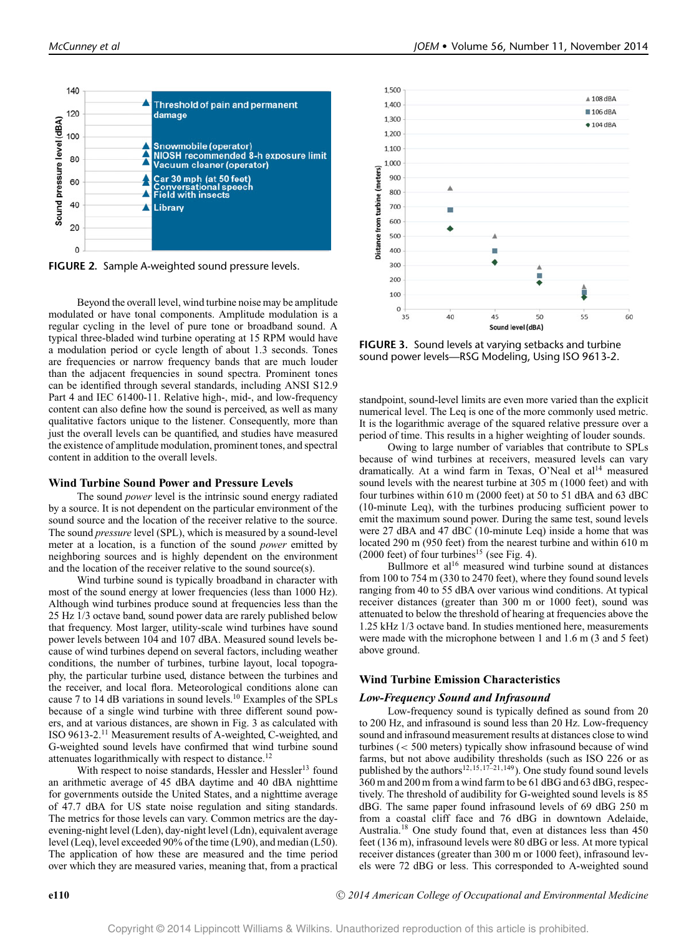

**FIGURE 2.** Sample A-weighted sound pressure levels.

Beyond the overall level, wind turbine noise may be amplitude modulated or have tonal components. Amplitude modulation is a regular cycling in the level of pure tone or broadband sound. A typical three-bladed wind turbine operating at 15 RPM would have a modulation period or cycle length of about 1.3 seconds. Tones are frequencies or narrow frequency bands that are much louder than the adjacent frequencies in sound spectra. Prominent tones can be identified through several standards, including ANSI S12.9 Part 4 and IEC 61400-11. Relative high-, mid-, and low-frequency content can also define how the sound is perceived, as well as many qualitative factors unique to the listener. Consequently, more than just the overall levels can be quantified, and studies have measured the existence of amplitude modulation, prominent tones, and spectral content in addition to the overall levels.

#### **Wind Turbine Sound Power and Pressure Levels**

The sound *power* level is the intrinsic sound energy radiated by a source. It is not dependent on the particular environment of the sound source and the location of the receiver relative to the source. The sound *pressure* level (SPL), which is measured by a sound-level meter at a location, is a function of the sound *power* emitted by neighboring sources and is highly dependent on the environment and the location of the receiver relative to the sound source(s).

Wind turbine sound is typically broadband in character with most of the sound energy at lower frequencies (less than 1000 Hz). Although wind turbines produce sound at frequencies less than the 25 Hz 1/3 octave band, sound power data are rarely published below that frequency. Most larger, utility-scale wind turbines have sound power levels between 104 and 107 dBA. Measured sound levels because of wind turbines depend on several factors, including weather conditions, the number of turbines, turbine layout, local topography, the particular turbine used, distance between the turbines and the receiver, and local flora. Meteorological conditions alone can cause 7 to 14 dB variations in sound levels.<sup>10</sup> Examples of the SPLs because of a single wind turbine with three different sound powers, and at various distances, are shown in Fig. 3 as calculated with ISO 9613-2.11 Measurement results of A-weighted, C-weighted, and G-weighted sound levels have confirmed that wind turbine sound attenuates logarithmically with respect to distance.<sup>12</sup>

With respect to noise standards, Hessler and Hessler<sup>13</sup> found an arithmetic average of 45 dBA daytime and 40 dBA nighttime for governments outside the United States, and a nighttime average of 47.7 dBA for US state noise regulation and siting standards. The metrics for those levels can vary. Common metrics are the dayevening-night level (Lden), day-night level (Ldn), equivalent average level (Leq), level exceeded 90% of the time (L90), and median (L50). The application of how these are measured and the time period over which they are measured varies, meaning that, from a practical



**FIGURE 3.** Sound levels at varying setbacks and turbine sound power levels—RSG Modeling, Using ISO 9613-2.

standpoint, sound-level limits are even more varied than the explicit numerical level. The Leq is one of the more commonly used metric. It is the logarithmic average of the squared relative pressure over a period of time. This results in a higher weighting of louder sounds.

Owing to large number of variables that contribute to SPLs because of wind turbines at receivers, measured levels can vary dramatically. At a wind farm in Texas, O'Neal et al<sup>14</sup> measured sound levels with the nearest turbine at 305 m (1000 feet) and with four turbines within 610 m (2000 feet) at 50 to 51 dBA and 63 dBC (10-minute Leq), with the turbines producing sufficient power to emit the maximum sound power. During the same test, sound levels were 27 dBA and 47 dBC (10-minute Leq) inside a home that was located 290 m (950 feet) from the nearest turbine and within 610 m (2000 feet) of four turbines<sup>15</sup> (see Fig. 4).

Bullmore et al<sup>16</sup> measured wind turbine sound at distances from 100 to 754 m (330 to 2470 feet), where they found sound levels ranging from 40 to 55 dBA over various wind conditions. At typical receiver distances (greater than 300 m or 1000 feet), sound was attenuated to below the threshold of hearing at frequencies above the 1.25 kHz 1/3 octave band. In studies mentioned here, measurements were made with the microphone between 1 and 1.6 m (3 and 5 feet) above ground.

#### **Wind Turbine Emission Characteristics**

#### *Low-Frequency Sound and Infrasound*

Low-frequency sound is typically defined as sound from 20 to 200 Hz, and infrasound is sound less than 20 Hz. Low-frequency sound and infrasound measurement results at distances close to wind turbines (< 500 meters) typically show infrasound because of wind farms, but not above audibility thresholds (such as ISO 226 or as published by the authors<sup>12,15,17–21,149</sup>). One study found sound levels 360 m and 200 m from a wind farm to be 61 dBG and 63 dBG, respectively. The threshold of audibility for G-weighted sound levels is 85 dBG. The same paper found infrasound levels of 69 dBG 250 m from a coastal cliff face and 76 dBG in downtown Adelaide, Australia.18 One study found that, even at distances less than 450 feet (136 m), infrasound levels were 80 dBG or less. At more typical receiver distances (greater than 300 m or 1000 feet), infrasound levels were 72 dBG or less. This corresponded to A-weighted sound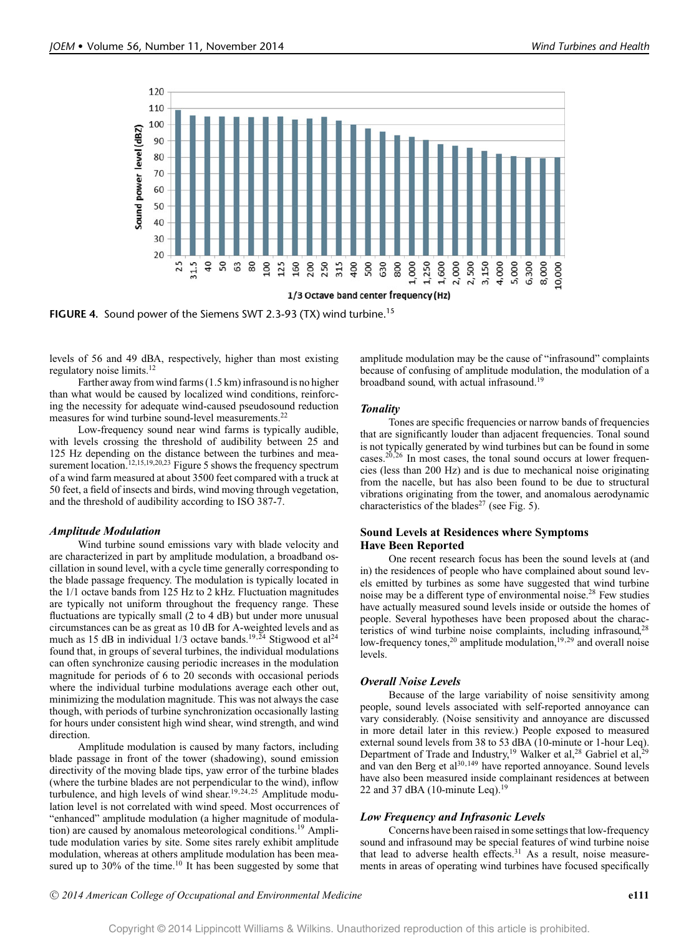

**FIGURE 4.** Sound power of the Siemens SWT 2.3-93 (TX) wind turbine.<sup>15</sup>

levels of 56 and 49 dBA, respectively, higher than most existing regulatory noise limits.12

Farther away from wind farms (1.5 km) infrasound is no higher than what would be caused by localized wind conditions, reinforcing the necessity for adequate wind-caused pseudosound reduction measures for wind turbine sound-level measurements.<sup>22</sup>

Low-frequency sound near wind farms is typically audible, with levels crossing the threshold of audibility between 25 and 125 Hz depending on the distance between the turbines and measurement location.<sup>12,15,19,20,23</sup> Figure 5 shows the frequency spectrum of a wind farm measured at about 3500 feet compared with a truck at 50 feet, a field of insects and birds, wind moving through vegetation, and the threshold of audibility according to ISO 387-7.

#### *Amplitude Modulation*

Wind turbine sound emissions vary with blade velocity and are characterized in part by amplitude modulation, a broadband oscillation in sound level, with a cycle time generally corresponding to the blade passage frequency. The modulation is typically located in the 1/1 octave bands from 125 Hz to 2 kHz. Fluctuation magnitudes are typically not uniform throughout the frequency range. These fluctuations are typically small (2 to 4 dB) but under more unusual circumstances can be as great as 10 dB for A-weighted levels and as much as 15 dB in individual 1/3 octave bands.<sup>19, $\bar{2}4$ </sup> Stigwood et al<sup>24</sup> found that, in groups of several turbines, the individual modulations can often synchronize causing periodic increases in the modulation magnitude for periods of 6 to 20 seconds with occasional periods where the individual turbine modulations average each other out, minimizing the modulation magnitude. This was not always the case though, with periods of turbine synchronization occasionally lasting for hours under consistent high wind shear, wind strength, and wind direction.

Amplitude modulation is caused by many factors, including blade passage in front of the tower (shadowing), sound emission directivity of the moving blade tips, yaw error of the turbine blades (where the turbine blades are not perpendicular to the wind), inflow turbulence, and high levels of wind shear.<sup>19,24,25</sup> Amplitude modulation level is not correlated with wind speed. Most occurrences of "enhanced" amplitude modulation (a higher magnitude of modulation) are caused by anomalous meteorological conditions.<sup>19</sup> Amplitude modulation varies by site. Some sites rarely exhibit amplitude modulation, whereas at others amplitude modulation has been measured up to  $30\%$  of the time.<sup>10</sup> It has been suggested by some that

amplitude modulation may be the cause of "infrasound" complaints because of confusing of amplitude modulation, the modulation of a broadband sound, with actual infrasound.<sup>19</sup>

#### *Tonality*

Tones are specific frequencies or narrow bands of frequencies that are significantly louder than adjacent frequencies. Tonal sound is not typically generated by wind turbines but can be found in some cases.20,26 In most cases, the tonal sound occurs at lower frequencies (less than 200 Hz) and is due to mechanical noise originating from the nacelle, but has also been found to be due to structural vibrations originating from the tower, and anomalous aerodynamic characteristics of the blades<sup>27</sup> (see Fig. 5).

# **Sound Levels at Residences where Symptoms Have Been Reported**

One recent research focus has been the sound levels at (and in) the residences of people who have complained about sound levels emitted by turbines as some have suggested that wind turbine noise may be a different type of environmental noise.28 Few studies have actually measured sound levels inside or outside the homes of people. Several hypotheses have been proposed about the characteristics of wind turbine noise complaints, including infrasound,<sup>28</sup> low-frequency tones,<sup>20</sup> amplitude modulation,<sup>19,29</sup> and overall noise levels.

#### *Overall Noise Levels*

Because of the large variability of noise sensitivity among people, sound levels associated with self-reported annoyance can vary considerably. (Noise sensitivity and annoyance are discussed in more detail later in this review.) People exposed to measured external sound levels from 38 to 53 dBA (10-minute or 1-hour Leq). Department of Trade and Industry,<sup>19</sup> Walker et al,<sup>28</sup> Gabriel et al,<sup>29</sup> and van den Berg et al<sup>30,149</sup> have reported annoyance. Sound levels have also been measured inside complainant residences at between 22 and 37 dBA (10-minute Leq). $19$ 

#### *Low Frequency and Infrasonic Levels*

Concerns have been raised in some settings that low-frequency sound and infrasound may be special features of wind turbine noise that lead to adverse health effects.<sup>31</sup> As a result, noise measurements in areas of operating wind turbines have focused specifically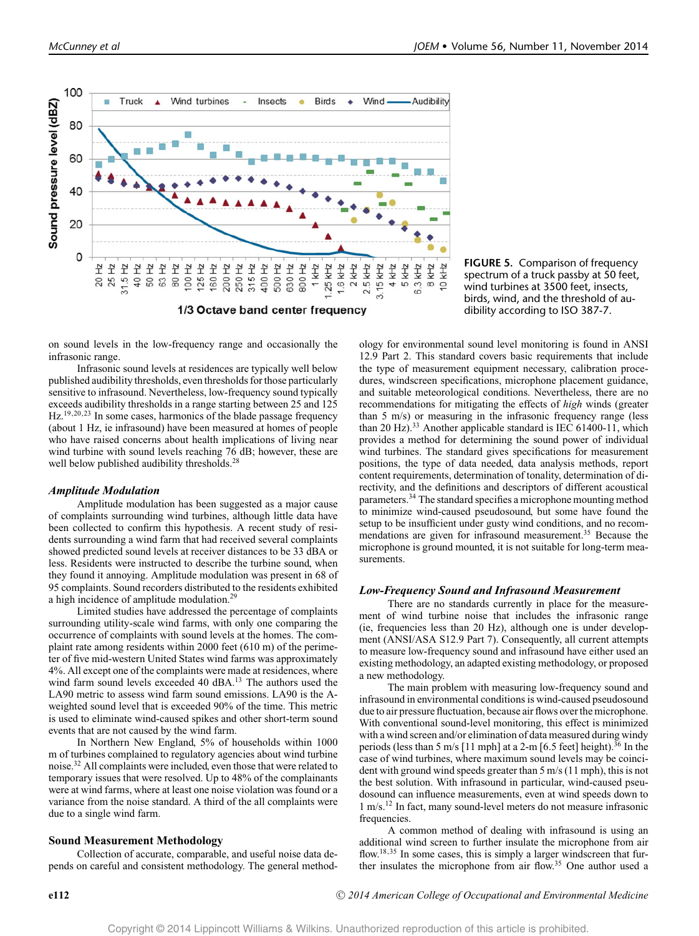

**FIGURE 5.** Comparison of frequency spectrum of a truck passby at 50 feet, wind turbines at 3500 feet, insects, birds, wind, and the threshold of audibility according to ISO 387-7.

on sound levels in the low-frequency range and occasionally the infrasonic range.

Infrasonic sound levels at residences are typically well below published audibility thresholds, even thresholds for those particularly sensitive to infrasound. Nevertheless, low-frequency sound typically exceeds audibility thresholds in a range starting between 25 and 125 Hz.<sup>19,20,23</sup> In some cases, harmonics of the blade passage frequency (about 1 Hz, ie infrasound) have been measured at homes of people who have raised concerns about health implications of living near wind turbine with sound levels reaching 76 dB; however, these are well below published audibility thresholds.<sup>28</sup>

#### *Amplitude Modulation*

Amplitude modulation has been suggested as a major cause of complaints surrounding wind turbines, although little data have been collected to confirm this hypothesis. A recent study of residents surrounding a wind farm that had received several complaints showed predicted sound levels at receiver distances to be 33 dBA or less. Residents were instructed to describe the turbine sound, when they found it annoying. Amplitude modulation was present in 68 of 95 complaints. Sound recorders distributed to the residents exhibited a high incidence of amplitude modulation.<sup>29</sup>

Limited studies have addressed the percentage of complaints surrounding utility-scale wind farms, with only one comparing the occurrence of complaints with sound levels at the homes. The complaint rate among residents within 2000 feet (610 m) of the perimeter of five mid-western United States wind farms was approximately 4%. All except one of the complaints were made at residences, where wind farm sound levels exceeded 40 dBA.<sup>13</sup> The authors used the LA90 metric to assess wind farm sound emissions. LA90 is the Aweighted sound level that is exceeded 90% of the time. This metric is used to eliminate wind-caused spikes and other short-term sound events that are not caused by the wind farm.

In Northern New England, 5% of households within 1000 m of turbines complained to regulatory agencies about wind turbine noise.32 All complaints were included, even those that were related to temporary issues that were resolved. Up to 48% of the complainants were at wind farms, where at least one noise violation was found or a variance from the noise standard. A third of the all complaints were due to a single wind farm.

# **Sound Measurement Methodology**

Collection of accurate, comparable, and useful noise data depends on careful and consistent methodology. The general methodology for environmental sound level monitoring is found in ANSI 12.9 Part 2. This standard covers basic requirements that include the type of measurement equipment necessary, calibration procedures, windscreen specifications, microphone placement guidance, and suitable meteorological conditions. Nevertheless, there are no recommendations for mitigating the effects of *high* winds (greater than 5 m/s) or measuring in the infrasonic frequency range (less than 20 Hz).<sup>33</sup> Another applicable standard is IEC 61400-11, which provides a method for determining the sound power of individual wind turbines. The standard gives specifications for measurement positions, the type of data needed, data analysis methods, report content requirements, determination of tonality, determination of directivity, and the definitions and descriptors of different acoustical parameters.<sup>34</sup> The standard specifies a microphone mounting method to minimize wind-caused pseudosound, but some have found the setup to be insufficient under gusty wind conditions, and no recommendations are given for infrasound measurement.<sup>35</sup> Because the microphone is ground mounted, it is not suitable for long-term measurements.

#### *Low-Frequency Sound and Infrasound Measurement*

There are no standards currently in place for the measurement of wind turbine noise that includes the infrasonic range (ie, frequencies less than 20 Hz), although one is under development (ANSI/ASA S12.9 Part 7). Consequently, all current attempts to measure low-frequency sound and infrasound have either used an existing methodology, an adapted existing methodology, or proposed a new methodology.

The main problem with measuring low-frequency sound and infrasound in environmental conditions is wind-caused pseudosound due to air pressure fluctuation, because air flows over the microphone. With conventional sound-level monitoring, this effect is minimized with a wind screen and/or elimination of data measured during windy periods (less than 5 m/s [11 mph] at a 2-m [6.5 feet] height).<sup>36</sup> In the case of wind turbines, where maximum sound levels may be coincident with ground wind speeds greater than 5 m/s (11 mph), this is not the best solution. With infrasound in particular, wind-caused pseudosound can influence measurements, even at wind speeds down to 1 m/s.12 In fact, many sound-level meters do not measure infrasonic frequencies.

A common method of dealing with infrasound is using an additional wind screen to further insulate the microphone from air flow.<sup>18,35</sup> In some cases, this is simply a larger windscreen that further insulates the microphone from air flow.35 One author used a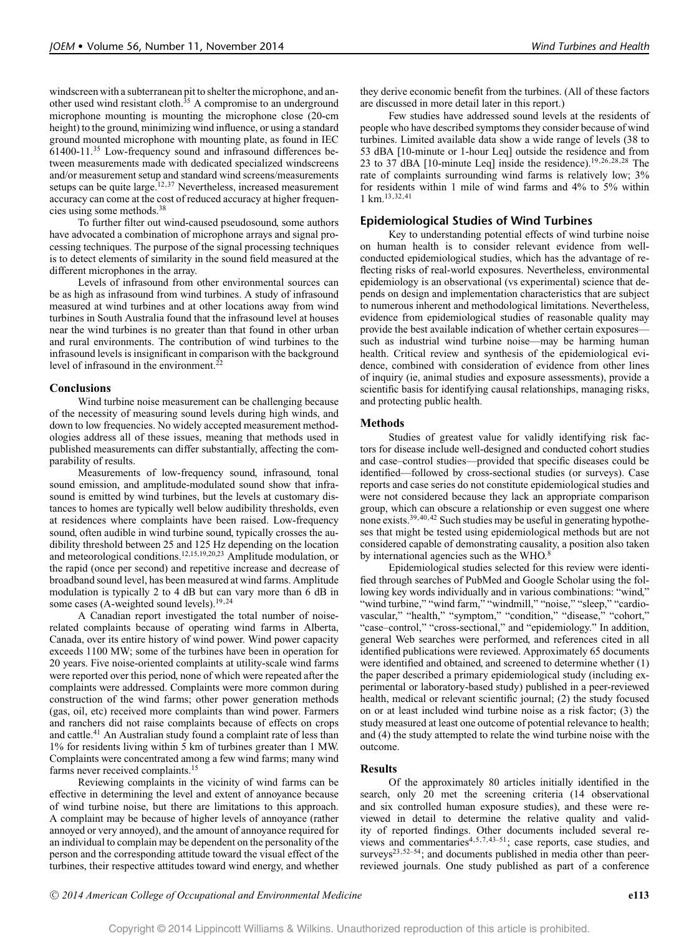windscreen with a subterranean pit to shelter the microphone, and another used wind resistant cloth.<sup>35</sup> A compromise to an underground microphone mounting is mounting the microphone close (20-cm height) to the ground, minimizing wind influence, or using a standard ground mounted microphone with mounting plate, as found in IEC 61400-11.<sup>35</sup> Low-frequency sound and infrasound differences between measurements made with dedicated specialized windscreens and/or measurement setup and standard wind screens/measurements setups can be quite large.<sup>12,37</sup> Nevertheless, increased measurement accuracy can come at the cost of reduced accuracy at higher frequencies using some methods.<sup>38</sup>

To further filter out wind-caused pseudosound, some authors have advocated a combination of microphone arrays and signal processing techniques. The purpose of the signal processing techniques is to detect elements of similarity in the sound field measured at the different microphones in the array.

Levels of infrasound from other environmental sources can be as high as infrasound from wind turbines. A study of infrasound measured at wind turbines and at other locations away from wind turbines in South Australia found that the infrasound level at houses near the wind turbines is no greater than that found in other urban and rural environments. The contribution of wind turbines to the infrasound levels is insignificant in comparison with the background level of infrasound in the environment.<sup>22</sup>

#### **Conclusions**

Wind turbine noise measurement can be challenging because of the necessity of measuring sound levels during high winds, and down to low frequencies. No widely accepted measurement methodologies address all of these issues, meaning that methods used in published measurements can differ substantially, affecting the comparability of results.

Measurements of low-frequency sound, infrasound, tonal sound emission, and amplitude-modulated sound show that infrasound is emitted by wind turbines, but the levels at customary distances to homes are typically well below audibility thresholds, even at residences where complaints have been raised. Low-frequency sound, often audible in wind turbine sound, typically crosses the audibility threshold between 25 and 125 Hz depending on the location and meteorological conditions.12,15,19,20,23 Amplitude modulation, or the rapid (once per second) and repetitive increase and decrease of broadband sound level, has been measured at wind farms. Amplitude modulation is typically 2 to 4 dB but can vary more than 6 dB in some cases (A-weighted sound levels).<sup>19,24</sup>

A Canadian report investigated the total number of noiserelated complaints because of operating wind farms in Alberta, Canada, over its entire history of wind power. Wind power capacity exceeds 1100 MW; some of the turbines have been in operation for 20 years. Five noise-oriented complaints at utility-scale wind farms were reported over this period, none of which were repeated after the complaints were addressed. Complaints were more common during construction of the wind farms; other power generation methods (gas, oil, etc) received more complaints than wind power. Farmers and ranchers did not raise complaints because of effects on crops and cattle.<sup>41</sup> An Australian study found a complaint rate of less than 1% for residents living within 5 km of turbines greater than 1 MW. Complaints were concentrated among a few wind farms; many wind farms never received complaints.15

Reviewing complaints in the vicinity of wind farms can be effective in determining the level and extent of annoyance because of wind turbine noise, but there are limitations to this approach. A complaint may be because of higher levels of annoyance (rather annoyed or very annoyed), and the amount of annoyance required for an individual to complain may be dependent on the personality of the person and the corresponding attitude toward the visual effect of the turbines, their respective attitudes toward wind energy, and whether

they derive economic benefit from the turbines. (All of these factors are discussed in more detail later in this report.)

Few studies have addressed sound levels at the residents of people who have described symptoms they consider because of wind turbines. Limited available data show a wide range of levels (38 to 53 dBA [10-minute or 1-hour Leq] outside the residence and from 23 to 37 dBA [10-minute Leq] inside the residence).19,26,28,28 The rate of complaints surrounding wind farms is relatively low; 3% for residents within 1 mile of wind farms and 4% to 5% within 1 km.13,32,41

# **Epidemiological Studies of Wind Turbines**

Key to understanding potential effects of wind turbine noise on human health is to consider relevant evidence from wellconducted epidemiological studies, which has the advantage of reflecting risks of real-world exposures. Nevertheless, environmental epidemiology is an observational (vs experimental) science that depends on design and implementation characteristics that are subject to numerous inherent and methodological limitations. Nevertheless, evidence from epidemiological studies of reasonable quality may provide the best available indication of whether certain exposures such as industrial wind turbine noise—may be harming human health. Critical review and synthesis of the epidemiological evidence, combined with consideration of evidence from other lines of inquiry (ie, animal studies and exposure assessments), provide a scientific basis for identifying causal relationships, managing risks, and protecting public health.

# **Methods**

Studies of greatest value for validly identifying risk factors for disease include well-designed and conducted cohort studies and case–control studies—provided that specific diseases could be identified—followed by cross-sectional studies (or surveys). Case reports and case series do not constitute epidemiological studies and were not considered because they lack an appropriate comparison group, which can obscure a relationship or even suggest one where none exists.<sup>39,40,42</sup> Such studies may be useful in generating hypotheses that might be tested using epidemiological methods but are not considered capable of demonstrating causality, a position also taken by international agencies such as the WHO.<sup>8</sup>

Epidemiological studies selected for this review were identified through searches of PubMed and Google Scholar using the following key words individually and in various combinations: "wind," "wind turbine," "wind farm," "windmill," "noise," "sleep," "cardiovascular," "health," "symptom," "condition," "disease," "cohort," "case–control," "cross-sectional," and "epidemiology." In addition, general Web searches were performed, and references cited in all identified publications were reviewed. Approximately 65 documents were identified and obtained, and screened to determine whether (1) the paper described a primary epidemiological study (including experimental or laboratory-based study) published in a peer-reviewed health, medical or relevant scientific journal; (2) the study focused on or at least included wind turbine noise as a risk factor; (3) the study measured at least one outcome of potential relevance to health; and (4) the study attempted to relate the wind turbine noise with the outcome.

# **Results**

Of the approximately 80 articles initially identified in the search, only 20 met the screening criteria (14 observational and six controlled human exposure studies), and these were reviewed in detail to determine the relative quality and validity of reported findings. Other documents included several reviews and commentaries<sup>4,5,7,43–51</sup>; case reports, case studies, and surveys<sup>23,52-54</sup>; and documents published in media other than peerreviewed journals. One study published as part of a conference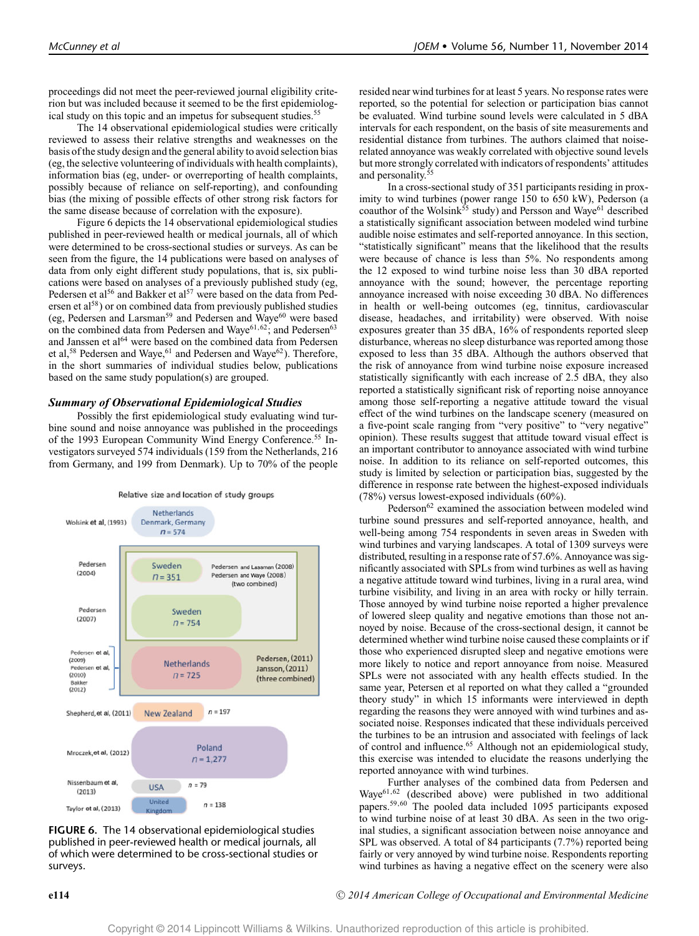proceedings did not meet the peer-reviewed journal eligibility criterion but was included because it seemed to be the first epidemiological study on this topic and an impetus for subsequent studies.<sup>55</sup>

The 14 observational epidemiological studies were critically reviewed to assess their relative strengths and weaknesses on the basis of the study design and the general ability to avoid selection bias (eg, the selective volunteering of individuals with health complaints), information bias (eg, under- or overreporting of health complaints, possibly because of reliance on self-reporting), and confounding bias (the mixing of possible effects of other strong risk factors for the same disease because of correlation with the exposure).

Figure 6 depicts the 14 observational epidemiological studies published in peer-reviewed health or medical journals, all of which were determined to be cross-sectional studies or surveys. As can be seen from the figure, the 14 publications were based on analyses of data from only eight different study populations, that is, six publications were based on analyses of a previously published study (eg, Pedersen et al<sup>56</sup> and Bakker et al<sup>57</sup> were based on the data from Pedersen et al<sup>58</sup>) or on combined data from previously published studies (eg, Pedersen and Larsman<sup>59</sup> and Pedersen and Waye<sup>60</sup> were based on the combined data from Pedersen and Waye<sup>61,62</sup>; and Pedersen<sup>63</sup> and Janssen et al<sup>64</sup> were based on the combined data from Pedersen et al,<sup>58</sup> Pedersen and Waye,<sup>61</sup> and Pedersen and Waye<sup>62</sup>). Therefore, in the short summaries of individual studies below, publications based on the same study population(s) are grouped.

# *Summary of Observational Epidemiological Studies*

Possibly the first epidemiological study evaluating wind turbine sound and noise annoyance was published in the proceedings of the 1993 European Community Wind Energy Conference.<sup>55</sup> Investigators surveyed 574 individuals (159 from the Netherlands, 216 from Germany, and 199 from Denmark). Up to 70% of the people



**FIGURE 6.** The 14 observational epidemiological studies published in peer-reviewed health or medical journals, all of which were determined to be cross-sectional studies or surveys.

resided near wind turbines for at least 5 years. No response rates were reported, so the potential for selection or participation bias cannot be evaluated. Wind turbine sound levels were calculated in 5 dBA intervals for each respondent, on the basis of site measurements and residential distance from turbines. The authors claimed that noiserelated annoyance was weakly correlated with objective sound levels but more strongly correlated with indicators of respondents' attitudes and personality.<sup>5</sup>

In a cross-sectional study of 351 participants residing in proximity to wind turbines (power range 150 to 650 kW), Pederson (a coauthor of the Wolsink<sup>55</sup> study) and Persson and Waye<sup>61</sup> described a statistically significant association between modeled wind turbine audible noise estimates and self-reported annoyance. In this section, "statistically significant" means that the likelihood that the results were because of chance is less than 5%. No respondents among the 12 exposed to wind turbine noise less than 30 dBA reported annoyance with the sound; however, the percentage reporting annoyance increased with noise exceeding 30 dBA. No differences in health or well-being outcomes (eg, tinnitus, cardiovascular disease, headaches, and irritability) were observed. With noise exposures greater than 35 dBA, 16% of respondents reported sleep disturbance, whereas no sleep disturbance was reported among those exposed to less than 35 dBA. Although the authors observed that the risk of annoyance from wind turbine noise exposure increased statistically significantly with each increase of 2.5 dBA, they also reported a statistically significant risk of reporting noise annoyance among those self-reporting a negative attitude toward the visual effect of the wind turbines on the landscape scenery (measured on a five-point scale ranging from "very positive" to "very negative" opinion). These results suggest that attitude toward visual effect is an important contributor to annoyance associated with wind turbine noise. In addition to its reliance on self-reported outcomes, this study is limited by selection or participation bias, suggested by the difference in response rate between the highest-exposed individuals (78%) versus lowest-exposed individuals (60%).

Pederson<sup>62</sup> examined the association between modeled wind turbine sound pressures and self-reported annoyance, health, and well-being among 754 respondents in seven areas in Sweden with wind turbines and varying landscapes. A total of 1309 surveys were distributed, resulting in a response rate of 57.6%. Annoyance was significantly associated with SPLs from wind turbines as well as having a negative attitude toward wind turbines, living in a rural area, wind turbine visibility, and living in an area with rocky or hilly terrain. Those annoyed by wind turbine noise reported a higher prevalence of lowered sleep quality and negative emotions than those not annoyed by noise. Because of the cross-sectional design, it cannot be determined whether wind turbine noise caused these complaints or if those who experienced disrupted sleep and negative emotions were more likely to notice and report annoyance from noise. Measured SPLs were not associated with any health effects studied. In the same year, Petersen et al reported on what they called a "grounded theory study" in which 15 informants were interviewed in depth regarding the reasons they were annoyed with wind turbines and associated noise. Responses indicated that these individuals perceived the turbines to be an intrusion and associated with feelings of lack of control and influence.<sup>65</sup> Although not an epidemiological study, this exercise was intended to elucidate the reasons underlying the reported annoyance with wind turbines.

Further analyses of the combined data from Pedersen and Waye61,62 (described above) were published in two additional papers.59,60 The pooled data included 1095 participants exposed to wind turbine noise of at least 30 dBA. As seen in the two original studies, a significant association between noise annoyance and SPL was observed. A total of 84 participants (7.7%) reported being fairly or very annoyed by wind turbine noise. Respondents reporting wind turbines as having a negative effect on the scenery were also

<sup>C</sup> *2014 American College of Occupational and Environmental Medicine*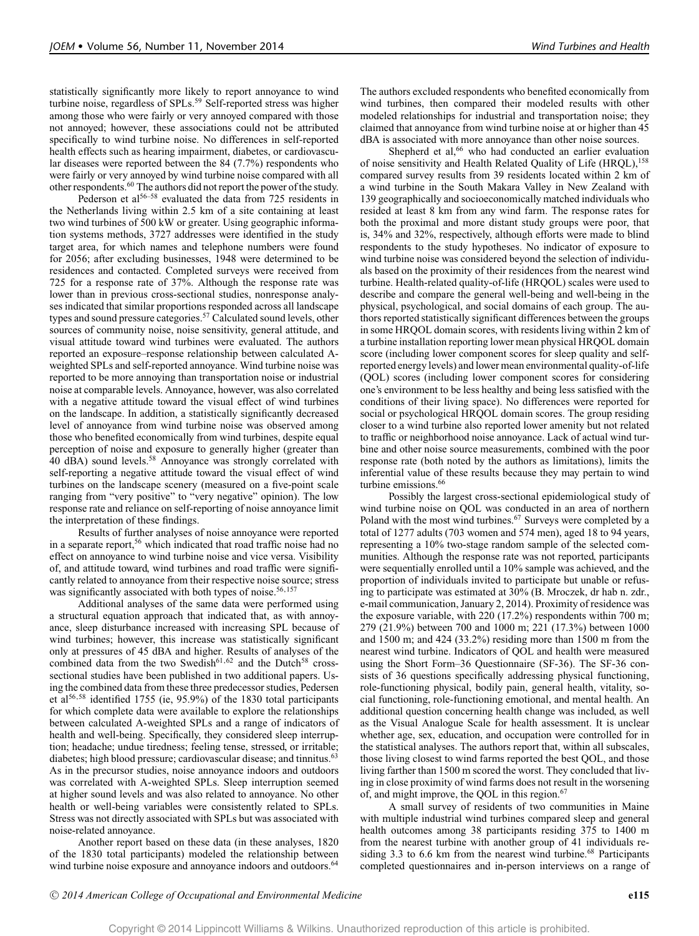statistically significantly more likely to report annoyance to wind turbine noise, regardless of SPLs.<sup>59</sup> Self-reported stress was higher among those who were fairly or very annoyed compared with those not annoyed; however, these associations could not be attributed specifically to wind turbine noise. No differences in self-reported health effects such as hearing impairment, diabetes, or cardiovascular diseases were reported between the 84 (7.7%) respondents who were fairly or very annoyed by wind turbine noise compared with all other respondents.60 The authors did not report the power of the study.

Pederson et al<sup>56–58</sup> evaluated the data from 725 residents in the Netherlands living within 2.5 km of a site containing at least two wind turbines of 500 kW or greater. Using geographic information systems methods, 3727 addresses were identified in the study target area, for which names and telephone numbers were found for 2056; after excluding businesses, 1948 were determined to be residences and contacted. Completed surveys were received from 725 for a response rate of 37%. Although the response rate was lower than in previous cross-sectional studies, nonresponse analyses indicated that similar proportions responded across all landscape types and sound pressure categories.<sup>57</sup> Calculated sound levels, other sources of community noise, noise sensitivity, general attitude, and visual attitude toward wind turbines were evaluated. The authors reported an exposure–response relationship between calculated Aweighted SPLs and self-reported annoyance. Wind turbine noise was reported to be more annoying than transportation noise or industrial noise at comparable levels. Annoyance, however, was also correlated with a negative attitude toward the visual effect of wind turbines on the landscape. In addition, a statistically significantly decreased level of annoyance from wind turbine noise was observed among those who benefited economically from wind turbines, despite equal perception of noise and exposure to generally higher (greater than 40 dBA) sound levels.<sup>58</sup> Annoyance was strongly correlated with self-reporting a negative attitude toward the visual effect of wind turbines on the landscape scenery (measured on a five-point scale ranging from "very positive" to "very negative" opinion). The low response rate and reliance on self-reporting of noise annoyance limit the interpretation of these findings.

Results of further analyses of noise annoyance were reported in a separate report,<sup>56</sup> which indicated that road traffic noise had no effect on annoyance to wind turbine noise and vice versa. Visibility of, and attitude toward, wind turbines and road traffic were significantly related to annoyance from their respective noise source; stress was significantly associated with both types of noise.<sup>56,157</sup>

Additional analyses of the same data were performed using a structural equation approach that indicated that, as with annoyance, sleep disturbance increased with increasing SPL because of wind turbines; however, this increase was statistically significant only at pressures of 45 dBA and higher. Results of analyses of the combined data from the two Swedish<sup>61,62</sup> and the Dutch<sup>58</sup> crosssectional studies have been published in two additional papers. Using the combined data from these three predecessor studies, Pedersen et al56,58 identified 1755 (ie, 95.9%) of the 1830 total participants for which complete data were available to explore the relationships between calculated A-weighted SPLs and a range of indicators of health and well-being. Specifically, they considered sleep interruption; headache; undue tiredness; feeling tense, stressed, or irritable; diabetes; high blood pressure; cardiovascular disease; and tinnitus.<sup>63</sup> As in the precursor studies, noise annoyance indoors and outdoors was correlated with A-weighted SPLs. Sleep interruption seemed at higher sound levels and was also related to annoyance. No other health or well-being variables were consistently related to SPLs. Stress was not directly associated with SPLs but was associated with noise-related annoyance.

Another report based on these data (in these analyses, 1820 of the 1830 total participants) modeled the relationship between wind turbine noise exposure and annoyance indoors and outdoors.<sup>64</sup>

The authors excluded respondents who benefited economically from wind turbines, then compared their modeled results with other modeled relationships for industrial and transportation noise; they claimed that annoyance from wind turbine noise at or higher than 45 dBA is associated with more annoyance than other noise sources.

Shepherd et al,<sup>66</sup> who had conducted an earlier evaluation of noise sensitivity and Health Related Quality of Life (HRQL),<sup>158</sup> compared survey results from 39 residents located within 2 km of a wind turbine in the South Makara Valley in New Zealand with 139 geographically and socioeconomically matched individuals who resided at least 8 km from any wind farm. The response rates for both the proximal and more distant study groups were poor, that is, 34% and 32%, respectively, although efforts were made to blind respondents to the study hypotheses. No indicator of exposure to wind turbine noise was considered beyond the selection of individuals based on the proximity of their residences from the nearest wind turbine. Health-related quality-of-life (HRQOL) scales were used to describe and compare the general well-being and well-being in the physical, psychological, and social domains of each group. The authors reported statistically significant differences between the groups in some HRQOL domain scores, with residents living within 2 km of a turbine installation reporting lower mean physical HRQOL domain score (including lower component scores for sleep quality and selfreported energy levels) and lower mean environmental quality-of-life (QOL) scores (including lower component scores for considering one's environment to be less healthy and being less satisfied with the conditions of their living space). No differences were reported for social or psychological HRQOL domain scores. The group residing closer to a wind turbine also reported lower amenity but not related to traffic or neighborhood noise annoyance. Lack of actual wind turbine and other noise source measurements, combined with the poor response rate (both noted by the authors as limitations), limits the inferential value of these results because they may pertain to wind turbine emissions.<sup>66</sup>

Possibly the largest cross-sectional epidemiological study of wind turbine noise on QOL was conducted in an area of northern Poland with the most wind turbines.<sup>67</sup> Surveys were completed by a total of 1277 adults (703 women and 574 men), aged 18 to 94 years, representing a 10% two-stage random sample of the selected communities. Although the response rate was not reported, participants were sequentially enrolled until a 10% sample was achieved, and the proportion of individuals invited to participate but unable or refusing to participate was estimated at 30% (B. Mroczek, dr hab n. zdr., e-mail communication, January 2, 2014). Proximity of residence was the exposure variable, with 220 (17.2%) respondents within 700 m; 279 (21.9%) between 700 and 1000 m; 221 (17.3%) between 1000 and 1500 m; and 424 (33.2%) residing more than 1500 m from the nearest wind turbine. Indicators of QOL and health were measured using the Short Form–36 Questionnaire (SF-36). The SF-36 consists of 36 questions specifically addressing physical functioning, role-functioning physical, bodily pain, general health, vitality, social functioning, role-functioning emotional, and mental health. An additional question concerning health change was included, as well as the Visual Analogue Scale for health assessment. It is unclear whether age, sex, education, and occupation were controlled for in the statistical analyses. The authors report that, within all subscales, those living closest to wind farms reported the best QOL, and those living farther than 1500 m scored the worst. They concluded that living in close proximity of wind farms does not result in the worsening of, and might improve, the QOL in this region.<sup>67</sup>

A small survey of residents of two communities in Maine with multiple industrial wind turbines compared sleep and general health outcomes among 38 participants residing 375 to 1400 m from the nearest turbine with another group of 41 individuals residing 3.3 to 6.6 km from the nearest wind turbine.<sup>68</sup> Participants completed questionnaires and in-person interviews on a range of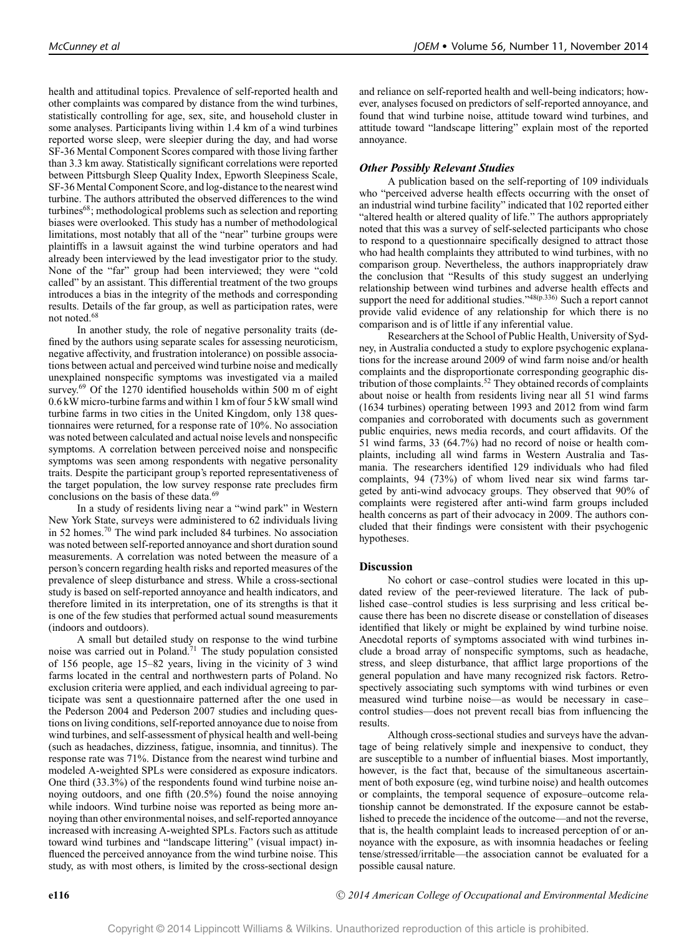health and attitudinal topics. Prevalence of self-reported health and other complaints was compared by distance from the wind turbines, statistically controlling for age, sex, site, and household cluster in some analyses. Participants living within 1.4 km of a wind turbines reported worse sleep, were sleepier during the day, and had worse SF-36 Mental Component Scores compared with those living farther than 3.3 km away. Statistically significant correlations were reported between Pittsburgh Sleep Quality Index, Epworth Sleepiness Scale, SF-36 Mental Component Score, and log-distance to the nearest wind turbine. The authors attributed the observed differences to the wind turbines68; methodological problems such as selection and reporting biases were overlooked. This study has a number of methodological limitations, most notably that all of the "near" turbine groups were plaintiffs in a lawsuit against the wind turbine operators and had already been interviewed by the lead investigator prior to the study. None of the "far" group had been interviewed; they were "cold called" by an assistant. This differential treatment of the two groups introduces a bias in the integrity of the methods and corresponding results. Details of the far group, as well as participation rates, were not noted.<sup>6</sup>

In another study, the role of negative personality traits (defined by the authors using separate scales for assessing neuroticism, negative affectivity, and frustration intolerance) on possible associations between actual and perceived wind turbine noise and medically unexplained nonspecific symptoms was investigated via a mailed survey.<sup>69</sup> Of the 1270 identified households within 500 m of eight 0.6 kW micro-turbine farms and within 1 km of four 5 kW small wind turbine farms in two cities in the United Kingdom, only 138 questionnaires were returned, for a response rate of 10%. No association was noted between calculated and actual noise levels and nonspecific symptoms. A correlation between perceived noise and nonspecific symptoms was seen among respondents with negative personality traits. Despite the participant group's reported representativeness of the target population, the low survey response rate precludes firm conclusions on the basis of these data.<sup>69</sup>

In a study of residents living near a "wind park" in Western New York State, surveys were administered to 62 individuals living in 52 homes.70 The wind park included 84 turbines. No association was noted between self-reported annoyance and short duration sound measurements. A correlation was noted between the measure of a person's concern regarding health risks and reported measures of the prevalence of sleep disturbance and stress. While a cross-sectional study is based on self-reported annoyance and health indicators, and therefore limited in its interpretation, one of its strengths is that it is one of the few studies that performed actual sound measurements (indoors and outdoors).

A small but detailed study on response to the wind turbine noise was carried out in Poland.<sup>71</sup> The study population consisted of 156 people, age 15–82 years, living in the vicinity of 3 wind farms located in the central and northwestern parts of Poland. No exclusion criteria were applied, and each individual agreeing to participate was sent a questionnaire patterned after the one used in the Pederson 2004 and Pederson 2007 studies and including questions on living conditions, self-reported annoyance due to noise from wind turbines, and self-assessment of physical health and well-being (such as headaches, dizziness, fatigue, insomnia, and tinnitus). The response rate was 71%. Distance from the nearest wind turbine and modeled A-weighted SPLs were considered as exposure indicators. One third (33.3%) of the respondents found wind turbine noise annoying outdoors, and one fifth (20.5%) found the noise annoying while indoors. Wind turbine noise was reported as being more annoying than other environmental noises, and self-reported annoyance increased with increasing A-weighted SPLs. Factors such as attitude toward wind turbines and "landscape littering" (visual impact) influenced the perceived annoyance from the wind turbine noise. This study, as with most others, is limited by the cross-sectional design

and reliance on self-reported health and well-being indicators; however, analyses focused on predictors of self-reported annoyance, and found that wind turbine noise, attitude toward wind turbines, and attitude toward "landscape littering" explain most of the reported annoyance.

# *Other Possibly Relevant Studies*

A publication based on the self-reporting of 109 individuals who "perceived adverse health effects occurring with the onset of an industrial wind turbine facility" indicated that 102 reported either "altered health or altered quality of life." The authors appropriately noted that this was a survey of self-selected participants who chose to respond to a questionnaire specifically designed to attract those who had health complaints they attributed to wind turbines, with no comparison group. Nevertheless, the authors inappropriately draw the conclusion that "Results of this study suggest an underlying relationship between wind turbines and adverse health effects and support the need for additional studies."<sup>48(p.336)</sup> Such a report cannot provide valid evidence of any relationship for which there is no comparison and is of little if any inferential value.

Researchers at the School of Public Health, University of Sydney, in Australia conducted a study to explore psychogenic explanations for the increase around 2009 of wind farm noise and/or health complaints and the disproportionate corresponding geographic distribution of those complaints.<sup>52</sup> They obtained records of complaints about noise or health from residents living near all 51 wind farms (1634 turbines) operating between 1993 and 2012 from wind farm companies and corroborated with documents such as government public enquiries, news media records, and court affidavits. Of the 51 wind farms, 33 (64.7%) had no record of noise or health complaints, including all wind farms in Western Australia and Tasmania. The researchers identified 129 individuals who had filed complaints, 94 (73%) of whom lived near six wind farms targeted by anti-wind advocacy groups. They observed that 90% of complaints were registered after anti-wind farm groups included health concerns as part of their advocacy in 2009. The authors concluded that their findings were consistent with their psychogenic hypotheses.

# **Discussion**

No cohort or case–control studies were located in this updated review of the peer-reviewed literature. The lack of published case–control studies is less surprising and less critical because there has been no discrete disease or constellation of diseases identified that likely or might be explained by wind turbine noise. Anecdotal reports of symptoms associated with wind turbines include a broad array of nonspecific symptoms, such as headache, stress, and sleep disturbance, that afflict large proportions of the general population and have many recognized risk factors. Retrospectively associating such symptoms with wind turbines or even measured wind turbine noise—as would be necessary in case– control studies—does not prevent recall bias from influencing the results.

Although cross-sectional studies and surveys have the advantage of being relatively simple and inexpensive to conduct, they are susceptible to a number of influential biases. Most importantly, however, is the fact that, because of the simultaneous ascertainment of both exposure (eg, wind turbine noise) and health outcomes or complaints, the temporal sequence of exposure–outcome relationship cannot be demonstrated. If the exposure cannot be established to precede the incidence of the outcome—and not the reverse, that is, the health complaint leads to increased perception of or annoyance with the exposure, as with insomnia headaches or feeling tense/stressed/irritable—the association cannot be evaluated for a possible causal nature.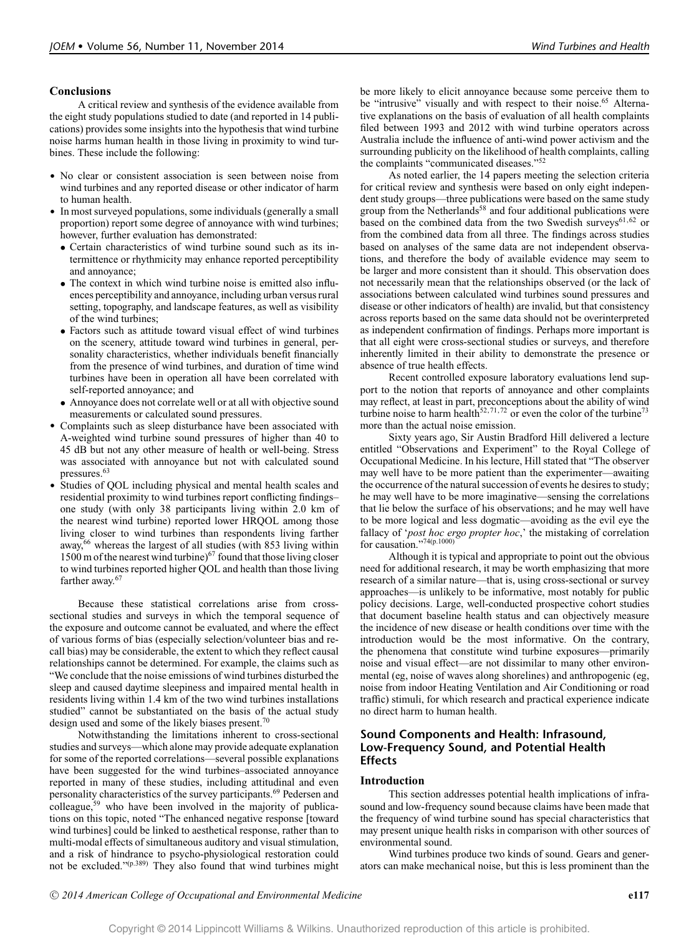# **Conclusions**

A critical review and synthesis of the evidence available from the eight study populations studied to date (and reported in 14 publications) provides some insights into the hypothesis that wind turbine noise harms human health in those living in proximity to wind turbines. These include the following:

- No clear or consistent association is seen between noise from wind turbines and any reported disease or other indicator of harm to human health.
- In most surveyed populations, some individuals (generally a small proportion) report some degree of annoyance with wind turbines; however, further evaluation has demonstrated:
- Certain characteristics of wind turbine sound such as its intermittence or rhythmicity may enhance reported perceptibility and annoyance;
- The context in which wind turbine noise is emitted also influences perceptibility and annoyance, including urban versus rural setting, topography, and landscape features, as well as visibility of the wind turbines;
- Factors such as attitude toward visual effect of wind turbines on the scenery, attitude toward wind turbines in general, personality characteristics, whether individuals benefit financially from the presence of wind turbines, and duration of time wind turbines have been in operation all have been correlated with self-reported annoyance; and
- Annoyance does not correlate well or at all with objective sound measurements or calculated sound pressures.
- Complaints such as sleep disturbance have been associated with A-weighted wind turbine sound pressures of higher than 40 to 45 dB but not any other measure of health or well-being. Stress was associated with annoyance but not with calculated sound pressures.63
- Studies of QOL including physical and mental health scales and residential proximity to wind turbines report conflicting findings– one study (with only 38 participants living within 2.0 km of the nearest wind turbine) reported lower HRQOL among those living closer to wind turbines than respondents living farther away,<sup>66</sup> whereas the largest of all studies (with 853 living within 1500 m of the nearest wind turbine)<sup>67</sup> found that those living closer to wind turbines reported higher QOL and health than those living farther away.<sup>67</sup>

Because these statistical correlations arise from crosssectional studies and surveys in which the temporal sequence of the exposure and outcome cannot be evaluated, and where the effect of various forms of bias (especially selection/volunteer bias and recall bias) may be considerable, the extent to which they reflect causal relationships cannot be determined. For example, the claims such as "We conclude that the noise emissions of wind turbines disturbed the sleep and caused daytime sleepiness and impaired mental health in residents living within 1.4 km of the two wind turbines installations studied" cannot be substantiated on the basis of the actual study design used and some of the likely biases present.<sup>70</sup>

Notwithstanding the limitations inherent to cross-sectional studies and surveys—which alone may provide adequate explanation for some of the reported correlations—several possible explanations have been suggested for the wind turbines–associated annoyance reported in many of these studies, including attitudinal and even personality characteristics of the survey participants.69 Pedersen and colleague,<sup>59</sup> who have been involved in the majority of publications on this topic, noted "The enhanced negative response [toward wind turbines] could be linked to aesthetical response, rather than to multi-modal effects of simultaneous auditory and visual stimulation, and a risk of hindrance to psycho-physiological restoration could not be excluded."(p.389) They also found that wind turbines might be more likely to elicit annoyance because some perceive them to be "intrusive" visually and with respect to their noise.<sup>65</sup> Alternative explanations on the basis of evaluation of all health complaints filed between 1993 and 2012 with wind turbine operators across Australia include the influence of anti-wind power activism and the surrounding publicity on the likelihood of health complaints, calling the complaints "communicated diseases."52

As noted earlier, the 14 papers meeting the selection criteria for critical review and synthesis were based on only eight independent study groups—three publications were based on the same study group from the Netherlands<sup>58</sup> and four additional publications were based on the combined data from the two Swedish surveys $61,62$  or from the combined data from all three. The findings across studies based on analyses of the same data are not independent observations, and therefore the body of available evidence may seem to be larger and more consistent than it should. This observation does not necessarily mean that the relationships observed (or the lack of associations between calculated wind turbines sound pressures and disease or other indicators of health) are invalid, but that consistency across reports based on the same data should not be overinterpreted as independent confirmation of findings. Perhaps more important is that all eight were cross-sectional studies or surveys, and therefore inherently limited in their ability to demonstrate the presence or absence of true health effects.

Recent controlled exposure laboratory evaluations lend support to the notion that reports of annoyance and other complaints may reflect, at least in part, preconceptions about the ability of wind turbine noise to harm health<sup>52,71,72</sup> or even the color of the turbine<sup>73</sup> more than the actual noise emission.

Sixty years ago, Sir Austin Bradford Hill delivered a lecture entitled "Observations and Experiment" to the Royal College of Occupational Medicine. In his lecture, Hill stated that "The observer may well have to be more patient than the experimenter—awaiting the occurrence of the natural succession of events he desires to study; he may well have to be more imaginative—sensing the correlations that lie below the surface of his observations; and he may well have to be more logical and less dogmatic—avoiding as the evil eye the fallacy of '*post hoc ergo propter hoc*,' the mistaking of correlation for causation."74(p.1000)

Although it is typical and appropriate to point out the obvious need for additional research, it may be worth emphasizing that more research of a similar nature—that is, using cross-sectional or survey approaches—is unlikely to be informative, most notably for public policy decisions. Large, well-conducted prospective cohort studies that document baseline health status and can objectively measure the incidence of new disease or health conditions over time with the introduction would be the most informative. On the contrary, the phenomena that constitute wind turbine exposures—primarily noise and visual effect—are not dissimilar to many other environmental (eg, noise of waves along shorelines) and anthropogenic (eg, noise from indoor Heating Ventilation and Air Conditioning or road traffic) stimuli, for which research and practical experience indicate no direct harm to human health.

# **Sound Components and Health: Infrasound, Low-Frequency Sound, and Potential Health Effects**

# **Introduction**

This section addresses potential health implications of infrasound and low-frequency sound because claims have been made that the frequency of wind turbine sound has special characteristics that may present unique health risks in comparison with other sources of environmental sound.

Wind turbines produce two kinds of sound. Gears and generators can make mechanical noise, but this is less prominent than the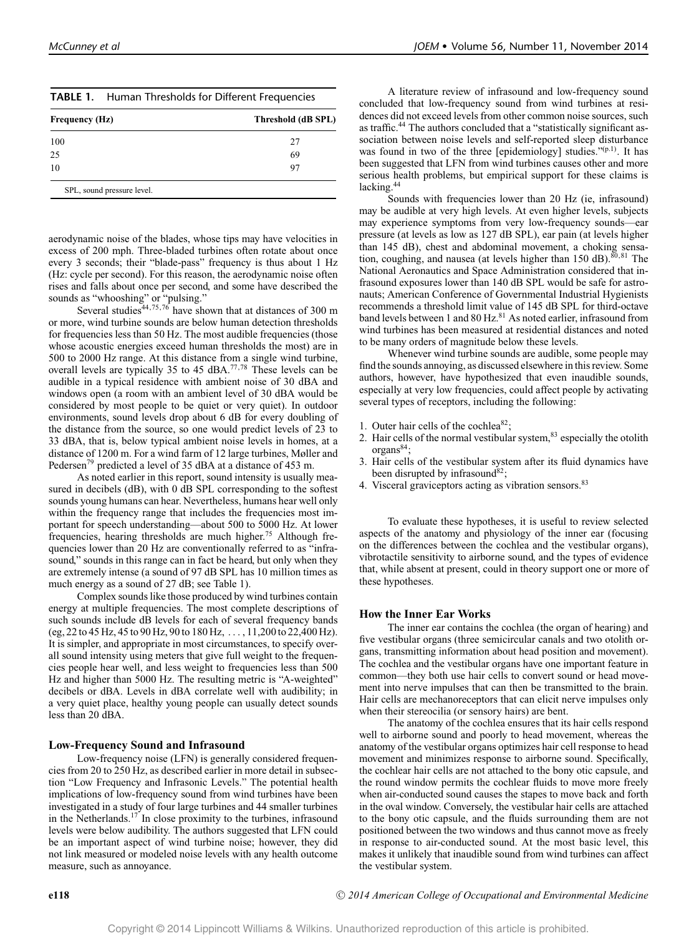| <b>TABLE 1.</b> Human Thresholds for Different Frequencies |  |
|------------------------------------------------------------|--|
|------------------------------------------------------------|--|

| <b>Frequency (Hz)</b> | Threshold (dB SPL) |
|-----------------------|--------------------|
| 100                   | 27                 |
| 25                    | 69                 |
| 10                    | 97                 |

aerodynamic noise of the blades, whose tips may have velocities in excess of 200 mph. Three-bladed turbines often rotate about once every 3 seconds; their "blade-pass" frequency is thus about 1 Hz (Hz: cycle per second). For this reason, the aerodynamic noise often rises and falls about once per second, and some have described the sounds as "whooshing" or "pulsing."

Several studies<sup>44,75,76</sup> have shown that at distances of 300 m or more, wind turbine sounds are below human detection thresholds for frequencies less than 50 Hz. The most audible frequencies (those whose acoustic energies exceed human thresholds the most) are in 500 to 2000 Hz range. At this distance from a single wind turbine, overall levels are typically 35 to 45 dBA.<sup>77,78</sup> These levels can be audible in a typical residence with ambient noise of 30 dBA and windows open (a room with an ambient level of 30 dBA would be considered by most people to be quiet or very quiet). In outdoor environments, sound levels drop about 6 dB for every doubling of the distance from the source, so one would predict levels of 23 to 33 dBA, that is, below typical ambient noise levels in homes, at a distance of 1200 m. For a wind farm of 12 large turbines, Møller and Pedersen<sup>79</sup> predicted a level of 35 dBA at a distance of 453 m.

As noted earlier in this report, sound intensity is usually measured in decibels (dB), with 0 dB SPL corresponding to the softest sounds young humans can hear. Nevertheless, humans hear well only within the frequency range that includes the frequencies most important for speech understanding—about 500 to 5000 Hz. At lower frequencies, hearing thresholds are much higher.<sup>75</sup> Although frequencies lower than 20 Hz are conventionally referred to as "infrasound," sounds in this range can in fact be heard, but only when they are extremely intense (a sound of 97 dB SPL has 10 million times as much energy as a sound of 27 dB; see Table 1).

Complex sounds like those produced by wind turbines contain energy at multiple frequencies. The most complete descriptions of such sounds include dB levels for each of several frequency bands (eg, 22 to 45 Hz, 45 to 90 Hz, 90 to 180 Hz, . . . , 11,200 to 22,400 Hz). It is simpler, and appropriate in most circumstances, to specify overall sound intensity using meters that give full weight to the frequencies people hear well, and less weight to frequencies less than 500 Hz and higher than 5000 Hz. The resulting metric is "A-weighted" decibels or dBA. Levels in dBA correlate well with audibility; in a very quiet place, healthy young people can usually detect sounds less than 20 dBA.

# **Low-Frequency Sound and Infrasound**

Low-frequency noise (LFN) is generally considered frequencies from 20 to 250 Hz, as described earlier in more detail in subsection "Low Frequency and Infrasonic Levels." The potential health implications of low-frequency sound from wind turbines have been investigated in a study of four large turbines and 44 smaller turbines in the Netherlands.<sup>17</sup> In close proximity to the turbines, infrasound levels were below audibility. The authors suggested that LFN could be an important aspect of wind turbine noise; however, they did not link measured or modeled noise levels with any health outcome measure, such as annoyance.

A literature review of infrasound and low-frequency sound concluded that low-frequency sound from wind turbines at residences did not exceed levels from other common noise sources, such as traffic.44 The authors concluded that a "statistically significant association between noise levels and self-reported sleep disturbance was found in two of the three [epidemiology] studies."(p.1). It has been suggested that LFN from wind turbines causes other and more serious health problems, but empirical support for these claims is lacking.<sup>44</sup>

Sounds with frequencies lower than 20 Hz (ie, infrasound) may be audible at very high levels. At even higher levels, subjects may experience symptoms from very low-frequency sounds—ear pressure (at levels as low as 127 dB SPL), ear pain (at levels higher than 145 dB), chest and abdominal movement, a choking sensation, coughing, and nausea (at levels higher than 150 dB). $80,81$  The National Aeronautics and Space Administration considered that infrasound exposures lower than 140 dB SPL would be safe for astronauts; American Conference of Governmental Industrial Hygienists recommends a threshold limit value of 145 dB SPL for third-octave band levels between 1 and 80 Hz. $^{81}$  As noted earlier, infrasound from wind turbines has been measured at residential distances and noted to be many orders of magnitude below these levels.

Whenever wind turbine sounds are audible, some people may find the sounds annoying, as discussed elsewhere in this review. Some authors, however, have hypothesized that even inaudible sounds, especially at very low frequencies, could affect people by activating several types of receptors, including the following:

- 1. Outer hair cells of the cochlea $82$ ;
- 2. Hair cells of the normal vestibular system, $83$  especially the otolith  $organs<sup>84</sup>$ ;
- 3. Hair cells of the vestibular system after its fluid dynamics have been disrupted by infrasound $82$ ;
- 4. Visceral graviceptors acting as vibration sensors.<sup>83</sup>

To evaluate these hypotheses, it is useful to review selected aspects of the anatomy and physiology of the inner ear (focusing on the differences between the cochlea and the vestibular organs), vibrotactile sensitivity to airborne sound, and the types of evidence that, while absent at present, could in theory support one or more of these hypotheses.

# **How the Inner Ear Works**

The inner ear contains the cochlea (the organ of hearing) and five vestibular organs (three semicircular canals and two otolith organs, transmitting information about head position and movement). The cochlea and the vestibular organs have one important feature in common—they both use hair cells to convert sound or head movement into nerve impulses that can then be transmitted to the brain. Hair cells are mechanoreceptors that can elicit nerve impulses only when their stereocilia (or sensory hairs) are bent.

The anatomy of the cochlea ensures that its hair cells respond well to airborne sound and poorly to head movement, whereas the anatomy of the vestibular organs optimizes hair cell response to head movement and minimizes response to airborne sound. Specifically, the cochlear hair cells are not attached to the bony otic capsule, and the round window permits the cochlear fluids to move more freely when air-conducted sound causes the stapes to move back and forth in the oval window. Conversely, the vestibular hair cells are attached to the bony otic capsule, and the fluids surrounding them are not positioned between the two windows and thus cannot move as freely in response to air-conducted sound. At the most basic level, this makes it unlikely that inaudible sound from wind turbines can affect the vestibular system.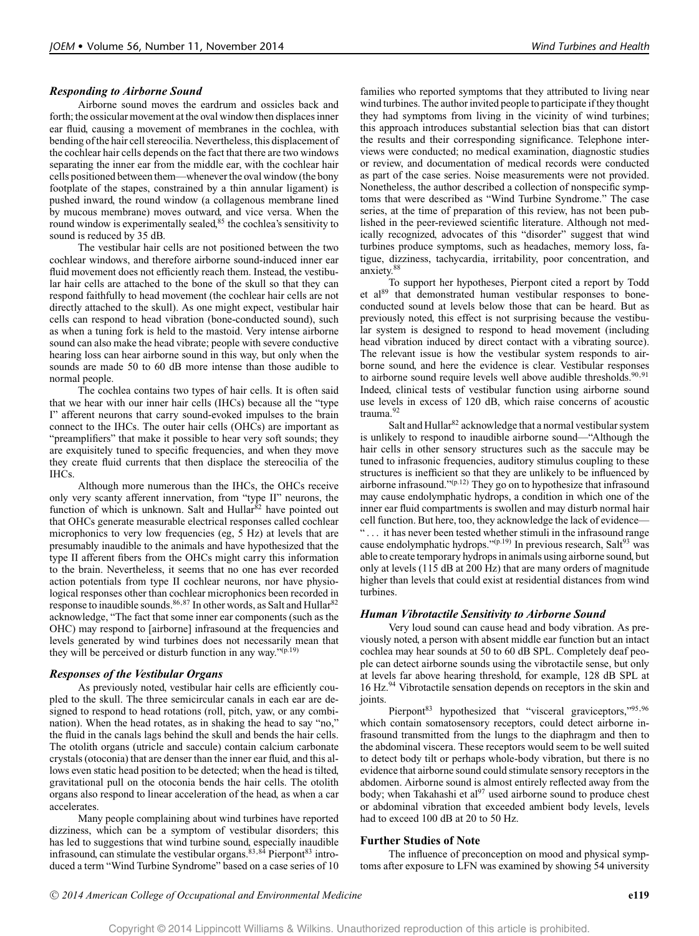# *Responding to Airborne Sound*

Airborne sound moves the eardrum and ossicles back and forth; the ossicular movement at the oval window then displaces inner ear fluid, causing a movement of membranes in the cochlea, with bending of the hair cell stereocilia. Nevertheless, this displacement of the cochlear hair cells depends on the fact that there are two windows separating the inner ear from the middle ear, with the cochlear hair cells positioned between them—whenever the oval window (the bony footplate of the stapes, constrained by a thin annular ligament) is pushed inward, the round window (a collagenous membrane lined by mucous membrane) moves outward, and vice versa. When the round window is experimentally sealed,<sup>85</sup> the cochlea's sensitivity to sound is reduced by 35 dB.

The vestibular hair cells are not positioned between the two cochlear windows, and therefore airborne sound-induced inner ear fluid movement does not efficiently reach them. Instead, the vestibular hair cells are attached to the bone of the skull so that they can respond faithfully to head movement (the cochlear hair cells are not directly attached to the skull). As one might expect, vestibular hair cells can respond to head vibration (bone-conducted sound), such as when a tuning fork is held to the mastoid. Very intense airborne sound can also make the head vibrate; people with severe conductive hearing loss can hear airborne sound in this way, but only when the sounds are made 50 to 60 dB more intense than those audible to normal people.

The cochlea contains two types of hair cells. It is often said that we hear with our inner hair cells (IHCs) because all the "type I" afferent neurons that carry sound-evoked impulses to the brain connect to the IHCs. The outer hair cells (OHCs) are important as "preamplifiers" that make it possible to hear very soft sounds; they are exquisitely tuned to specific frequencies, and when they move they create fluid currents that then displace the stereocilia of the IHCs.

Although more numerous than the IHCs, the OHCs receive only very scanty afferent innervation, from "type II" neurons, the function of which is unknown. Salt and Hullar ${}^{82}$  have pointed out that OHCs generate measurable electrical responses called cochlear microphonics to very low frequencies (eg, 5 Hz) at levels that are presumably inaudible to the animals and have hypothesized that the type II afferent fibers from the OHCs might carry this information to the brain. Nevertheless, it seems that no one has ever recorded action potentials from type II cochlear neurons, nor have physiological responses other than cochlear microphonics been recorded in response to inaudible sounds.<sup>86,87</sup> In other words, as Salt and Hullar<sup>82</sup> acknowledge, "The fact that some inner ear components (such as the OHC) may respond to [airborne] infrasound at the frequencies and levels generated by wind turbines does not necessarily mean that they will be perceived or disturb function in any way."(p.19)

# *Responses of the Vestibular Organs*

As previously noted, vestibular hair cells are efficiently coupled to the skull. The three semicircular canals in each ear are designed to respond to head rotations (roll, pitch, yaw, or any combination). When the head rotates, as in shaking the head to say "no," the fluid in the canals lags behind the skull and bends the hair cells. The otolith organs (utricle and saccule) contain calcium carbonate crystals (otoconia) that are denser than the inner ear fluid, and this allows even static head position to be detected; when the head is tilted, gravitational pull on the otoconia bends the hair cells. The otolith organs also respond to linear acceleration of the head, as when a car accelerates.

Many people complaining about wind turbines have reported dizziness, which can be a symptom of vestibular disorders; this has led to suggestions that wind turbine sound, especially inaudible infrasound, can stimulate the vestibular organs.<sup>83,84</sup> Pierpont<sup>83</sup> introduced a term "Wind Turbine Syndrome" based on a case series of 10 families who reported symptoms that they attributed to living near wind turbines. The author invited people to participate if they thought they had symptoms from living in the vicinity of wind turbines; this approach introduces substantial selection bias that can distort the results and their corresponding significance. Telephone interviews were conducted; no medical examination, diagnostic studies or review, and documentation of medical records were conducted as part of the case series. Noise measurements were not provided. Nonetheless, the author described a collection of nonspecific symptoms that were described as "Wind Turbine Syndrome." The case series, at the time of preparation of this review, has not been published in the peer-reviewed scientific literature. Although not medically recognized, advocates of this "disorder" suggest that wind turbines produce symptoms, such as headaches, memory loss, fatigue, dizziness, tachycardia, irritability, poor concentration, and anxiety.88

To support her hypotheses, Pierpont cited a report by Todd et al<sup>89</sup> that demonstrated human vestibular responses to boneconducted sound at levels below those that can be heard. But as previously noted, this effect is not surprising because the vestibular system is designed to respond to head movement (including head vibration induced by direct contact with a vibrating source). The relevant issue is how the vestibular system responds to airborne sound, and here the evidence is clear. Vestibular responses to airborne sound require levels well above audible thresholds.<sup>90,91</sup> Indeed, clinical tests of vestibular function using airborne sound use levels in excess of 120 dB, which raise concerns of acoustic trauma.<sup>92</sup>

Salt and Hullar<sup>82</sup> acknowledge that a normal vestibular system is unlikely to respond to inaudible airborne sound—"Although the hair cells in other sensory structures such as the saccule may be tuned to infrasonic frequencies, auditory stimulus coupling to these structures is inefficient so that they are unlikely to be influenced by airborne infrasound."(p.12) They go on to hypothesize that infrasound may cause endolymphatic hydrops, a condition in which one of the inner ear fluid compartments is swollen and may disturb normal hair cell function. But here, too, they acknowledge the lack of evidence— " . . . it has never been tested whether stimuli in the infrasound range cause endolymphatic hydrops."(p.19) In previous research, Salt<sup>93</sup> was able to create temporary hydrops in animals using airborne sound, but only at levels (115 dB at 200 Hz) that are many orders of magnitude higher than levels that could exist at residential distances from wind turbines.

# *Human Vibrotactile Sensitivity to Airborne Sound*

Very loud sound can cause head and body vibration. As previously noted, a person with absent middle ear function but an intact cochlea may hear sounds at 50 to 60 dB SPL. Completely deaf people can detect airborne sounds using the vibrotactile sense, but only at levels far above hearing threshold, for example, 128 dB SPL at 16 Hz.94 Vibrotactile sensation depends on receptors in the skin and joints.

Pierpont<sup>83</sup> hypothesized that "visceral graviceptors,"<sup>95,96</sup> which contain somatosensory receptors, could detect airborne infrasound transmitted from the lungs to the diaphragm and then to the abdominal viscera. These receptors would seem to be well suited to detect body tilt or perhaps whole-body vibration, but there is no evidence that airborne sound could stimulate sensory receptors in the abdomen. Airborne sound is almost entirely reflected away from the body; when Takahashi et al<sup>97</sup> used airborne sound to produce chest or abdominal vibration that exceeded ambient body levels, levels had to exceed 100 dB at 20 to 50 Hz.

# **Further Studies of Note**

The influence of preconception on mood and physical symptoms after exposure to LFN was examined by showing 54 university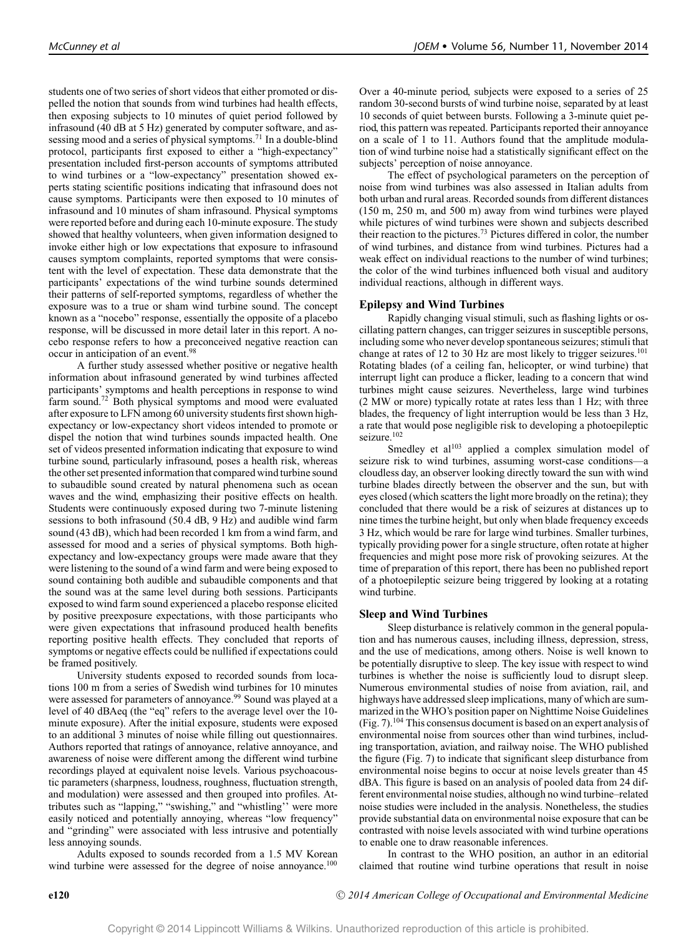students one of two series of short videos that either promoted or dispelled the notion that sounds from wind turbines had health effects, then exposing subjects to 10 minutes of quiet period followed by infrasound (40 dB at 5 Hz) generated by computer software, and assessing mood and a series of physical symptoms.<sup>71</sup> In a double-blind protocol, participants first exposed to either a "high-expectancy" presentation included first-person accounts of symptoms attributed to wind turbines or a "low-expectancy" presentation showed experts stating scientific positions indicating that infrasound does not cause symptoms. Participants were then exposed to 10 minutes of infrasound and 10 minutes of sham infrasound. Physical symptoms were reported before and during each 10-minute exposure. The study showed that healthy volunteers, when given information designed to invoke either high or low expectations that exposure to infrasound causes symptom complaints, reported symptoms that were consistent with the level of expectation. These data demonstrate that the participants' expectations of the wind turbine sounds determined their patterns of self-reported symptoms, regardless of whether the exposure was to a true or sham wind turbine sound. The concept known as a "nocebo" response, essentially the opposite of a placebo response, will be discussed in more detail later in this report. A nocebo response refers to how a preconceived negative reaction can occur in anticipation of an event.98

A further study assessed whether positive or negative health information about infrasound generated by wind turbines affected participants' symptoms and health perceptions in response to wind farm sound.72 Both physical symptoms and mood were evaluated after exposure to LFN among 60 university students first shown highexpectancy or low-expectancy short videos intended to promote or dispel the notion that wind turbines sounds impacted health. One set of videos presented information indicating that exposure to wind turbine sound, particularly infrasound, poses a health risk, whereas the other set presented information that compared wind turbine sound to subaudible sound created by natural phenomena such as ocean waves and the wind, emphasizing their positive effects on health. Students were continuously exposed during two 7-minute listening sessions to both infrasound (50.4 dB, 9 Hz) and audible wind farm sound (43 dB), which had been recorded 1 km from a wind farm, and assessed for mood and a series of physical symptoms. Both highexpectancy and low-expectancy groups were made aware that they were listening to the sound of a wind farm and were being exposed to sound containing both audible and subaudible components and that the sound was at the same level during both sessions. Participants exposed to wind farm sound experienced a placebo response elicited by positive preexposure expectations, with those participants who were given expectations that infrasound produced health benefits reporting positive health effects. They concluded that reports of symptoms or negative effects could be nullified if expectations could be framed positively.

University students exposed to recorded sounds from locations 100 m from a series of Swedish wind turbines for 10 minutes were assessed for parameters of annoyance.<sup>99</sup> Sound was played at a level of 40 dBAeq (the "eq" refers to the average level over the 10 minute exposure). After the initial exposure, students were exposed to an additional 3 minutes of noise while filling out questionnaires. Authors reported that ratings of annoyance, relative annoyance, and awareness of noise were different among the different wind turbine recordings played at equivalent noise levels. Various psychoacoustic parameters (sharpness, loudness, roughness, fluctuation strength, and modulation) were assessed and then grouped into profiles. Attributes such as "lapping," "swishing," and "whistling'' were more easily noticed and potentially annoying, whereas "low frequency" and "grinding" were associated with less intrusive and potentially less annoying sounds.

Adults exposed to sounds recorded from a 1.5 MV Korean wind turbine were assessed for the degree of noise annoyance.<sup>100</sup>

Over a 40-minute period, subjects were exposed to a series of 25 random 30-second bursts of wind turbine noise, separated by at least 10 seconds of quiet between bursts. Following a 3-minute quiet period, this pattern was repeated. Participants reported their annoyance on a scale of 1 to 11. Authors found that the amplitude modulation of wind turbine noise had a statistically significant effect on the subjects' perception of noise annoyance.

The effect of psychological parameters on the perception of noise from wind turbines was also assessed in Italian adults from both urban and rural areas. Recorded sounds from different distances (150 m, 250 m, and 500 m) away from wind turbines were played while pictures of wind turbines were shown and subjects described their reaction to the pictures.73 Pictures differed in color, the number of wind turbines, and distance from wind turbines. Pictures had a weak effect on individual reactions to the number of wind turbines; the color of the wind turbines influenced both visual and auditory individual reactions, although in different ways.

# **Epilepsy and Wind Turbines**

Rapidly changing visual stimuli, such as flashing lights or oscillating pattern changes, can trigger seizures in susceptible persons, including some who never develop spontaneous seizures; stimuli that change at rates of 12 to 30 Hz are most likely to trigger seizures.<sup>101</sup> Rotating blades (of a ceiling fan, helicopter, or wind turbine) that interrupt light can produce a flicker, leading to a concern that wind turbines might cause seizures. Nevertheless, large wind turbines (2 MW or more) typically rotate at rates less than 1 Hz; with three blades, the frequency of light interruption would be less than 3 Hz, a rate that would pose negligible risk to developing a photoepileptic seizure.<sup>102</sup>

Smedley et al<sup>103</sup> applied a complex simulation model of seizure risk to wind turbines, assuming worst-case conditions—a cloudless day, an observer looking directly toward the sun with wind turbine blades directly between the observer and the sun, but with eyes closed (which scatters the light more broadly on the retina); they concluded that there would be a risk of seizures at distances up to nine times the turbine height, but only when blade frequency exceeds 3 Hz, which would be rare for large wind turbines. Smaller turbines, typically providing power for a single structure, often rotate at higher frequencies and might pose more risk of provoking seizures. At the time of preparation of this report, there has been no published report of a photoepileptic seizure being triggered by looking at a rotating wind turbine.

# **Sleep and Wind Turbines**

Sleep disturbance is relatively common in the general population and has numerous causes, including illness, depression, stress, and the use of medications, among others. Noise is well known to be potentially disruptive to sleep. The key issue with respect to wind turbines is whether the noise is sufficiently loud to disrupt sleep. Numerous environmental studies of noise from aviation, rail, and highways have addressed sleep implications, many of which are summarized in the WHO's position paper on Nighttime Noise Guidelines (Fig. 7).104 This consensus document is based on an expert analysis of environmental noise from sources other than wind turbines, including transportation, aviation, and railway noise. The WHO published the figure (Fig. 7) to indicate that significant sleep disturbance from environmental noise begins to occur at noise levels greater than 45 dBA. This figure is based on an analysis of pooled data from 24 different environmental noise studies, although no wind turbine–related noise studies were included in the analysis. Nonetheless, the studies provide substantial data on environmental noise exposure that can be contrasted with noise levels associated with wind turbine operations to enable one to draw reasonable inferences.

In contrast to the WHO position, an author in an editorial claimed that routine wind turbine operations that result in noise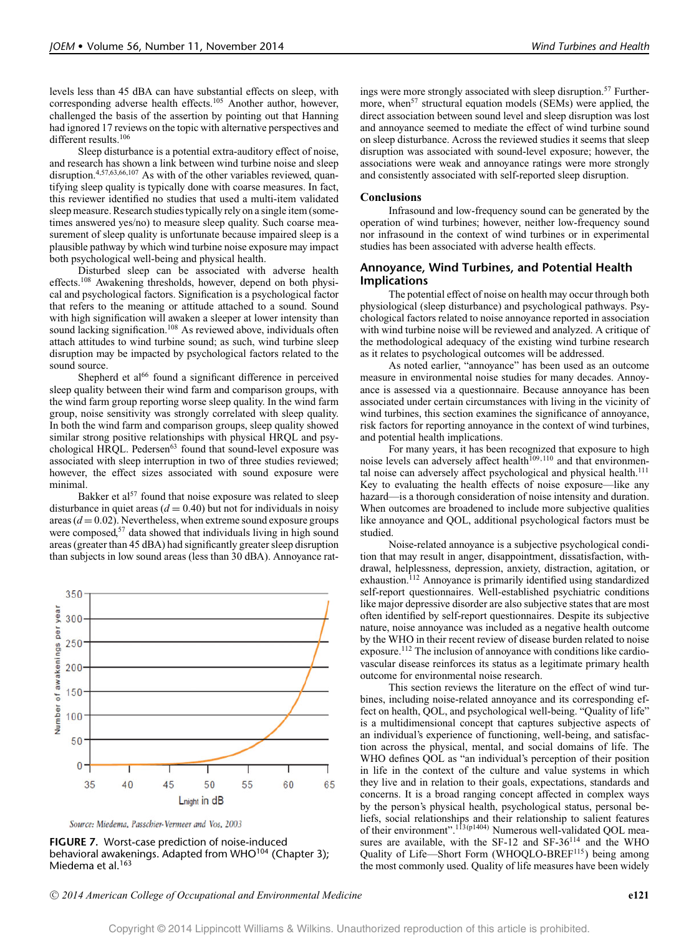levels less than 45 dBA can have substantial effects on sleep, with corresponding adverse health effects.105 Another author, however, challenged the basis of the assertion by pointing out that Hanning had ignored 17 reviews on the topic with alternative perspectives and different results.<sup>106</sup>

Sleep disturbance is a potential extra-auditory effect of noise, and research has shown a link between wind turbine noise and sleep disruption.<sup>4,57,63,66,107</sup> As with of the other variables reviewed, quantifying sleep quality is typically done with coarse measures. In fact, this reviewer identified no studies that used a multi-item validated sleep measure. Research studies typically rely on a single item (sometimes answered yes/no) to measure sleep quality. Such coarse measurement of sleep quality is unfortunate because impaired sleep is a plausible pathway by which wind turbine noise exposure may impact both psychological well-being and physical health.

Disturbed sleep can be associated with adverse health effects.<sup>108</sup> Awakening thresholds, however, depend on both physical and psychological factors. Signification is a psychological factor that refers to the meaning or attitude attached to a sound. Sound with high signification will awaken a sleeper at lower intensity than sound lacking signification.<sup>108</sup> As reviewed above, individuals often attach attitudes to wind turbine sound; as such, wind turbine sleep disruption may be impacted by psychological factors related to the sound source.

Shepherd et al<sup>66</sup> found a significant difference in perceived sleep quality between their wind farm and comparison groups, with the wind farm group reporting worse sleep quality. In the wind farm group, noise sensitivity was strongly correlated with sleep quality. In both the wind farm and comparison groups, sleep quality showed similar strong positive relationships with physical HRQL and psychological HRQL. Pedersen<sup>63</sup> found that sound-level exposure was associated with sleep interruption in two of three studies reviewed; however, the effect sizes associated with sound exposure were minimal.

Bakker et al<sup>57</sup> found that noise exposure was related to sleep disturbance in quiet areas  $(d = 0.40)$  but not for individuals in noisy areas  $(d = 0.02)$ . Nevertheless, when extreme sound exposure groups were composed,<sup>57</sup> data showed that individuals living in high sound areas (greater than 45 dBA) had significantly greater sleep disruption than subjects in low sound areas (less than 30 dBA). Annoyance rat-



Source: Miedema, Passchier-Vermeer and Vos, 2003

**FIGURE 7.** Worst-case prediction of noise-induced behavioral awakenings. Adapted from WHO<sup>104</sup> (Chapter 3); Miedema et al.<sup>163</sup>

ings were more strongly associated with sleep disruption.<sup>57</sup> Furthermore, when<sup>57</sup> structural equation models (SEMs) were applied, the direct association between sound level and sleep disruption was lost and annoyance seemed to mediate the effect of wind turbine sound on sleep disturbance. Across the reviewed studies it seems that sleep disruption was associated with sound-level exposure; however, the associations were weak and annoyance ratings were more strongly and consistently associated with self-reported sleep disruption.

#### **Conclusions**

Infrasound and low-frequency sound can be generated by the operation of wind turbines; however, neither low-frequency sound nor infrasound in the context of wind turbines or in experimental studies has been associated with adverse health effects.

# **Annoyance, Wind Turbines, and Potential Health Implications**

The potential effect of noise on health may occur through both physiological (sleep disturbance) and psychological pathways. Psychological factors related to noise annoyance reported in association with wind turbine noise will be reviewed and analyzed. A critique of the methodological adequacy of the existing wind turbine research as it relates to psychological outcomes will be addressed.

As noted earlier, "annoyance" has been used as an outcome measure in environmental noise studies for many decades. Annoyance is assessed via a questionnaire. Because annoyance has been associated under certain circumstances with living in the vicinity of wind turbines, this section examines the significance of annoyance, risk factors for reporting annoyance in the context of wind turbines, and potential health implications.

For many years, it has been recognized that exposure to high noise levels can adversely affect health<sup>109,110</sup> and that environmental noise can adversely affect psychological and physical health.<sup>111</sup> Key to evaluating the health effects of noise exposure—like any hazard—is a thorough consideration of noise intensity and duration. When outcomes are broadened to include more subjective qualities like annoyance and QOL, additional psychological factors must be studied.

Noise-related annoyance is a subjective psychological condition that may result in anger, disappointment, dissatisfaction, withdrawal, helplessness, depression, anxiety, distraction, agitation, or exhaustion.<sup>112</sup> Annoyance is primarily identified using standardized self-report questionnaires. Well-established psychiatric conditions like major depressive disorder are also subjective states that are most often identified by self-report questionnaires. Despite its subjective nature, noise annoyance was included as a negative health outcome by the WHO in their recent review of disease burden related to noise exposure.112 The inclusion of annoyance with conditions like cardiovascular disease reinforces its status as a legitimate primary health outcome for environmental noise research.

This section reviews the literature on the effect of wind turbines, including noise-related annoyance and its corresponding effect on health, QOL, and psychological well-being. "Quality of life" is a multidimensional concept that captures subjective aspects of an individual's experience of functioning, well-being, and satisfaction across the physical, mental, and social domains of life. The WHO defines QOL as "an individual's perception of their position in life in the context of the culture and value systems in which they live and in relation to their goals, expectations, standards and concerns. It is a broad ranging concept affected in complex ways by the person's physical health, psychological status, personal beliefs, social relationships and their relationship to salient features of their environment".<sup>113(p1404)</sup> Numerous well-validated QOL measures are available, with the  $SF-12$  and  $SF-36^{114}$  and the WHO Quality of Life—Short Form (WHOQLO-BREF<sup>115</sup>) being among the most commonly used. Quality of life measures have been widely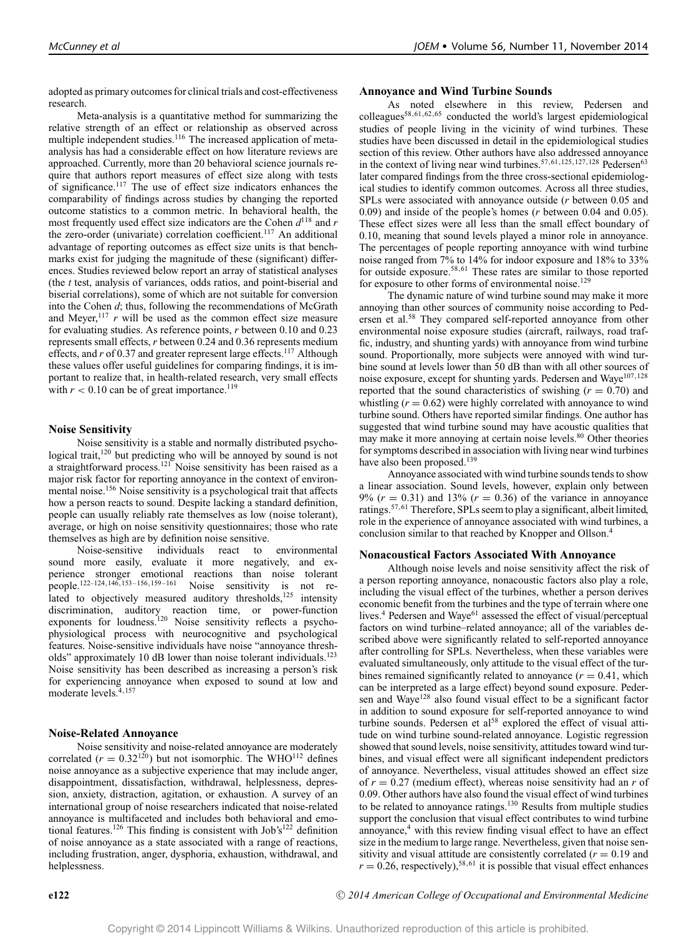adopted as primary outcomes for clinical trials and cost-effectiveness research.

Meta-analysis is a quantitative method for summarizing the relative strength of an effect or relationship as observed across multiple independent studies.<sup>116</sup> The increased application of metaanalysis has had a considerable effect on how literature reviews are approached. Currently, more than 20 behavioral science journals require that authors report measures of effect size along with tests of significance.117 The use of effect size indicators enhances the comparability of findings across studies by changing the reported outcome statistics to a common metric. In behavioral health, the most frequently used effect size indicators are the Cohen  $d^{118}$  and  $r$ the zero-order (univariate) correlation coefficient.<sup>117</sup> An additional advantage of reporting outcomes as effect size units is that benchmarks exist for judging the magnitude of these (significant) differences. Studies reviewed below report an array of statistical analyses (the *t* test, analysis of variances, odds ratios, and point-biserial and biserial correlations), some of which are not suitable for conversion into the Cohen *d*; thus, following the recommendations of McGrath and Meyer, $117$   $r$  will be used as the common effect size measure for evaluating studies. As reference points, *r* between 0.10 and 0.23 represents small effects, *r* between 0.24 and 0.36 represents medium effects, and *r* of 0.37 and greater represent large effects.<sup>117</sup> Although these values offer useful guidelines for comparing findings, it is important to realize that, in health-related research, very small effects with  $r < 0.10$  can be of great importance.<sup>119</sup>

# **Noise Sensitivity**

Noise sensitivity is a stable and normally distributed psychological trait,<sup>120</sup> but predicting who will be annoyed by sound is not a straightforward process.<sup>121</sup> Noise sensitivity has been raised as a major risk factor for reporting annoyance in the context of environmental noise.156 Noise sensitivity is a psychological trait that affects how a person reacts to sound. Despite lacking a standard definition, people can usually reliably rate themselves as low (noise tolerant), average, or high on noise sensitivity questionnaires; those who rate themselves as high are by definition noise sensitive.

Noise-sensitive individuals react to environmental sound more easily, evaluate it more negatively, and experience stronger emotional reactions than noise tolerant people.122–124,146,153–156,159–161 Noise sensitivity is not related to objectively measured auditory thresholds,<sup>125</sup> intensity discrimination, auditory reaction time, or power-function exponents for loudness.<sup>120</sup> Noise sensitivity reflects a psychophysiological process with neurocognitive and psychological features. Noise-sensitive individuals have noise "annoyance thresholds" approximately 10 dB lower than noise tolerant individuals.<sup>123</sup> Noise sensitivity has been described as increasing a person's risk for experiencing annoyance when exposed to sound at low and moderate levels.4,157

# **Noise-Related Annoyance**

Noise sensitivity and noise-related annoyance are moderately correlated ( $r = 0.32^{120}$ ) but not isomorphic. The WHO<sup>112</sup> defines noise annoyance as a subjective experience that may include anger, disappointment, dissatisfaction, withdrawal, helplessness, depression, anxiety, distraction, agitation, or exhaustion. A survey of an international group of noise researchers indicated that noise-related annoyance is multifaceted and includes both behavioral and emotional features.<sup>126</sup> This finding is consistent with Job's<sup>122</sup> definition of noise annoyance as a state associated with a range of reactions, including frustration, anger, dysphoria, exhaustion, withdrawal, and helplessness.

#### **Annoyance and Wind Turbine Sounds**

As noted elsewhere in this review, Pedersen and  $\text{colle}$ agues<sup>58,61,62,65</sup> conducted the world's largest epidemiological studies of people living in the vicinity of wind turbines. These studies have been discussed in detail in the epidemiological studies section of this review. Other authors have also addressed annoyance in the context of living near wind turbines.<sup>57,61,125,127,128</sup> Pedersen<sup>63</sup> later compared findings from the three cross-sectional epidemiological studies to identify common outcomes. Across all three studies, SPLs were associated with annoyance outside (*r* between 0.05 and 0.09) and inside of the people's homes (*r* between 0.04 and 0.05). These effect sizes were all less than the small effect boundary of 0.10, meaning that sound levels played a minor role in annoyance. The percentages of people reporting annoyance with wind turbine noise ranged from 7% to 14% for indoor exposure and 18% to 33% for outside exposure.<sup>58,61</sup> These rates are similar to those reported for exposure to other forms of environmental noise.<sup>129</sup>

The dynamic nature of wind turbine sound may make it more annoying than other sources of community noise according to Pedersen et al.58 They compared self-reported annoyance from other environmental noise exposure studies (aircraft, railways, road traffic, industry, and shunting yards) with annoyance from wind turbine sound. Proportionally, more subjects were annoyed with wind turbine sound at levels lower than 50 dB than with all other sources of noise exposure, except for shunting yards. Pedersen and Waye<sup>107,128</sup> reported that the sound characteristics of swishing  $(r = 0.70)$  and whistling  $(r = 0.62)$  were highly correlated with annoyance to wind turbine sound. Others have reported similar findings. One author has suggested that wind turbine sound may have acoustic qualities that may make it more annoying at certain noise levels.<sup>80</sup> Other theories for symptoms described in association with living near wind turbines have also been proposed.<sup>139</sup>

Annoyance associated with wind turbine sounds tends to show a linear association. Sound levels, however, explain only between 9%  $(r = 0.31)$  and 13%  $(r = 0.36)$  of the variance in annoyance ratings.57,61 Therefore, SPLs seem to play a significant, albeit limited, role in the experience of annoyance associated with wind turbines, a conclusion similar to that reached by Knopper and Ollson.4

#### **Nonacoustical Factors Associated With Annoyance**

Although noise levels and noise sensitivity affect the risk of a person reporting annoyance, nonacoustic factors also play a role, including the visual effect of the turbines, whether a person derives economic benefit from the turbines and the type of terrain where one lives.<sup>4</sup> Pedersen and Waye<sup>61</sup> assessed the effect of visual/perceptual factors on wind turbine–related annoyance; all of the variables described above were significantly related to self-reported annoyance after controlling for SPLs. Nevertheless, when these variables were evaluated simultaneously, only attitude to the visual effect of the turbines remained significantly related to annoyance  $(r = 0.41,$  which can be interpreted as a large effect) beyond sound exposure. Pedersen and Waye<sup>128</sup> also found visual effect to be a significant factor in addition to sound exposure for self-reported annoyance to wind turbine sounds. Pedersen et al<sup>58</sup> explored the effect of visual attitude on wind turbine sound-related annoyance. Logistic regression showed that sound levels, noise sensitivity, attitudes toward wind turbines, and visual effect were all significant independent predictors of annoyance. Nevertheless, visual attitudes showed an effect size of *r* = 0.27 (medium effect), whereas noise sensitivity had an *r* of 0.09. Other authors have also found the visual effect of wind turbines to be related to annoyance ratings.<sup>130</sup> Results from multiple studies support the conclusion that visual effect contributes to wind turbine annoyance, $4$  with this review finding visual effect to have an effect size in the medium to large range. Nevertheless, given that noise sensitivity and visual attitude are consistently correlated  $(r = 0.19$  and  $r = 0.26$ , respectively),<sup>58,61</sup> it is possible that visual effect enhances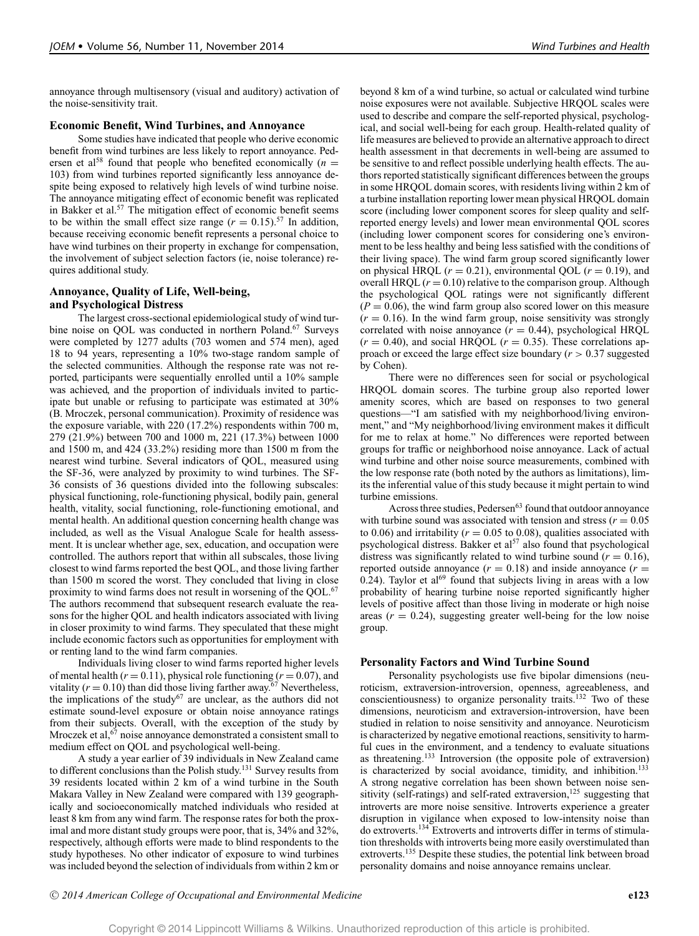annoyance through multisensory (visual and auditory) activation of the noise-sensitivity trait.

# **Economic Benefit, Wind Turbines, and Annoyance**

Some studies have indicated that people who derive economic benefit from wind turbines are less likely to report annoyance. Pedersen et al<sup>58</sup> found that people who benefited economically  $(n =$ 103) from wind turbines reported significantly less annoyance despite being exposed to relatively high levels of wind turbine noise. The annoyance mitigating effect of economic benefit was replicated in Bakker et al.<sup>57</sup> The mitigation effect of economic benefit seems to be within the small effect size range  $(r = 0.15)$ .<sup>57</sup> In addition, because receiving economic benefit represents a personal choice to have wind turbines on their property in exchange for compensation, the involvement of subject selection factors (ie, noise tolerance) requires additional study.

# **Annoyance, Quality of Life, Well-being, and Psychological Distress**

The largest cross-sectional epidemiological study of wind turbine noise on QOL was conducted in northern Poland.<sup>67</sup> Surveys were completed by 1277 adults (703 women and 574 men), aged 18 to 94 years, representing a 10% two-stage random sample of the selected communities. Although the response rate was not reported, participants were sequentially enrolled until a 10% sample was achieved, and the proportion of individuals invited to participate but unable or refusing to participate was estimated at 30% (B. Mroczek, personal communication). Proximity of residence was the exposure variable, with 220 (17.2%) respondents within 700 m, 279 (21.9%) between 700 and 1000 m, 221 (17.3%) between 1000 and 1500 m, and 424 (33.2%) residing more than 1500 m from the nearest wind turbine. Several indicators of QOL, measured using the SF-36, were analyzed by proximity to wind turbines. The SF-36 consists of 36 questions divided into the following subscales: physical functioning, role-functioning physical, bodily pain, general health, vitality, social functioning, role-functioning emotional, and mental health. An additional question concerning health change was included, as well as the Visual Analogue Scale for health assessment. It is unclear whether age, sex, education, and occupation were controlled. The authors report that within all subscales, those living closest to wind farms reported the best QOL, and those living farther than 1500 m scored the worst. They concluded that living in close proximity to wind farms does not result in worsening of the QOL.<sup>67</sup> The authors recommend that subsequent research evaluate the reasons for the higher QOL and health indicators associated with living in closer proximity to wind farms. They speculated that these might include economic factors such as opportunities for employment with or renting land to the wind farm companies.

Individuals living closer to wind farms reported higher levels of mental health ( $r = 0.11$ ), physical role functioning ( $r = 0.07$ ), and vitality ( $r = 0.10$ ) than did those living farther away.<sup>67</sup> Nevertheless, the implications of the study<sup>67</sup> are unclear, as the authors did not estimate sound-level exposure or obtain noise annoyance ratings from their subjects. Overall, with the exception of the study by Mroczek et al, $67$  noise annoyance demonstrated a consistent small to medium effect on QOL and psychological well-being.

A study a year earlier of 39 individuals in New Zealand came to different conclusions than the Polish study.131 Survey results from 39 residents located within 2 km of a wind turbine in the South Makara Valley in New Zealand were compared with 139 geographically and socioeconomically matched individuals who resided at least 8 km from any wind farm. The response rates for both the proximal and more distant study groups were poor, that is, 34% and 32%, respectively, although efforts were made to blind respondents to the study hypotheses. No other indicator of exposure to wind turbines was included beyond the selection of individuals from within 2 km or

beyond 8 km of a wind turbine, so actual or calculated wind turbine noise exposures were not available. Subjective HRQOL scales were used to describe and compare the self-reported physical, psychological, and social well-being for each group. Health-related quality of life measures are believed to provide an alternative approach to direct health assessment in that decrements in well-being are assumed to be sensitive to and reflect possible underlying health effects. The authors reported statistically significant differences between the groups in some HRQOL domain scores, with residents living within 2 km of a turbine installation reporting lower mean physical HRQOL domain score (including lower component scores for sleep quality and selfreported energy levels) and lower mean environmental QOL scores (including lower component scores for considering one's environment to be less healthy and being less satisfied with the conditions of their living space). The wind farm group scored significantly lower on physical HRQL  $(r = 0.21)$ , environmental QOL  $(r = 0.19)$ , and overall HRQL  $(r = 0.10)$  relative to the comparison group. Although the psychological QOL ratings were not significantly different  $(P = 0.06)$ , the wind farm group also scored lower on this measure  $(r = 0.16)$ . In the wind farm group, noise sensitivity was strongly correlated with noise annoyance  $(r = 0.44)$ , psychological HRQL  $(r = 0.40)$ , and social HRQOL  $(r = 0.35)$ . These correlations approach or exceed the large effect size boundary (*r* > 0.37 suggested by Cohen).

There were no differences seen for social or psychological HRQOL domain scores. The turbine group also reported lower amenity scores, which are based on responses to two general questions—"I am satisfied with my neighborhood/living environment," and "My neighborhood/living environment makes it difficult for me to relax at home." No differences were reported between groups for traffic or neighborhood noise annoyance. Lack of actual wind turbine and other noise source measurements, combined with the low response rate (both noted by the authors as limitations), limits the inferential value of this study because it might pertain to wind turbine emissions.

Across three studies, Pedersen<sup>63</sup> found that outdoor annoyance with turbine sound was associated with tension and stress ( $r = 0.05$ ) to 0.06) and irritability ( $r = 0.05$  to 0.08), qualities associated with psychological distress. Bakker et al<sup>57</sup> also found that psychological distress was significantly related to wind turbine sound  $(r = 0.16)$ , reported outside annoyance  $(r = 0.18)$  and inside annoyance  $(r = 1.18)$ 0.24). Taylor et  $al^{69}$  found that subjects living in areas with a low probability of hearing turbine noise reported significantly higher levels of positive affect than those living in moderate or high noise areas  $(r = 0.24)$ , suggesting greater well-being for the low noise group.

# **Personality Factors and Wind Turbine Sound**

Personality psychologists use five bipolar dimensions (neuroticism, extraversion-introversion, openness, agreeableness, and conscientiousness) to organize personality traits.132 Two of these dimensions, neuroticism and extraversion-introversion, have been studied in relation to noise sensitivity and annoyance. Neuroticism is characterized by negative emotional reactions, sensitivity to harmful cues in the environment, and a tendency to evaluate situations as threatening.133 Introversion (the opposite pole of extraversion) is characterized by social avoidance, timidity, and inhibition.<sup>133</sup> A strong negative correlation has been shown between noise sensitivity (self-ratings) and self-rated extraversion,<sup>125</sup> suggesting that introverts are more noise sensitive. Introverts experience a greater disruption in vigilance when exposed to low-intensity noise than do extroverts.<sup>134</sup> Extroverts and introverts differ in terms of stimulation thresholds with introverts being more easily overstimulated than extroverts.<sup>135</sup> Despite these studies, the potential link between broad personality domains and noise annoyance remains unclear.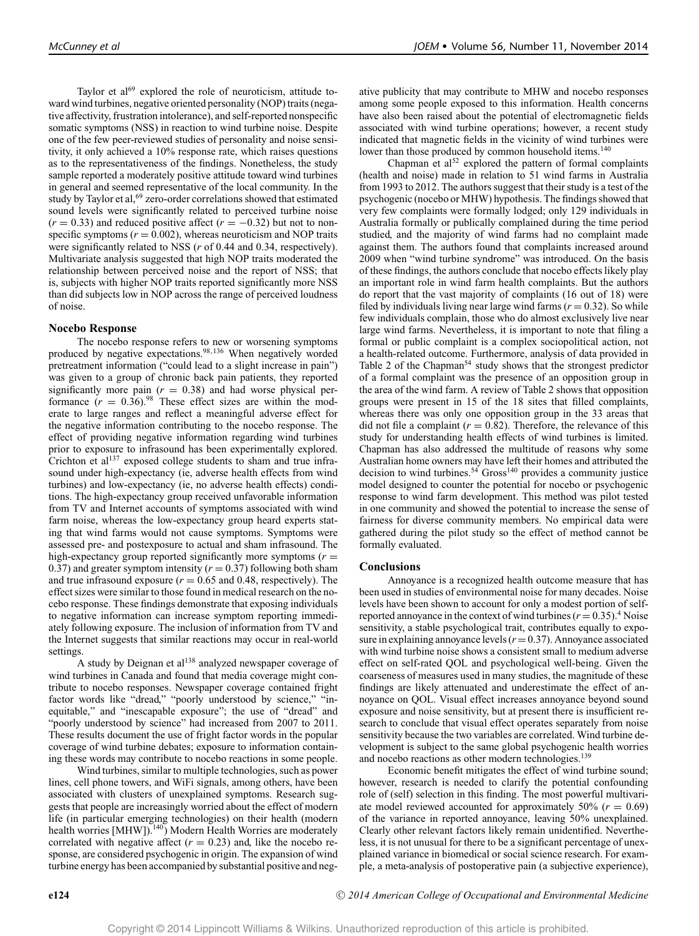Taylor et  $al^{69}$  explored the role of neuroticism, attitude toward wind turbines, negative oriented personality (NOP) traits (negative affectivity, frustration intolerance), and self-reported nonspecific somatic symptoms (NSS) in reaction to wind turbine noise. Despite one of the few peer-reviewed studies of personality and noise sensitivity, it only achieved a 10% response rate, which raises questions as to the representativeness of the findings. Nonetheless, the study sample reported a moderately positive attitude toward wind turbines in general and seemed representative of the local community. In the study by Taylor et al,<sup>69</sup> zero-order correlations showed that estimated sound levels were significantly related to perceived turbine noise  $(r = 0.33)$  and reduced positive affect  $(r = -0.32)$  but not to nonspecific symptoms  $(r = 0.002)$ , whereas neuroticism and NOP traits were significantly related to NSS (*r* of 0.44 and 0.34, respectively). Multivariate analysis suggested that high NOP traits moderated the relationship between perceived noise and the report of NSS; that is, subjects with higher NOP traits reported significantly more NSS than did subjects low in NOP across the range of perceived loudness of noise.

# **Nocebo Response**

The nocebo response refers to new or worsening symptoms produced by negative expectations.98,136 When negatively worded pretreatment information ("could lead to a slight increase in pain") was given to a group of chronic back pain patients, they reported significantly more pain  $(r = 0.38)$  and had worse physical performance  $(r = 0.36)^{98}$  These effect sizes are within the moderate to large ranges and reflect a meaningful adverse effect for the negative information contributing to the nocebo response. The effect of providing negative information regarding wind turbines prior to exposure to infrasound has been experimentally explored. Crichton et al<sup>137</sup> exposed college students to sham and true infrasound under high-expectancy (ie, adverse health effects from wind turbines) and low-expectancy (ie, no adverse health effects) conditions. The high-expectancy group received unfavorable information from TV and Internet accounts of symptoms associated with wind farm noise, whereas the low-expectancy group heard experts stating that wind farms would not cause symptoms. Symptoms were assessed pre- and postexposure to actual and sham infrasound. The high-expectancy group reported significantly more symptoms  $(r =$ 0.37) and greater symptom intensity  $(r = 0.37)$  following both sham and true infrasound exposure  $(r = 0.65$  and 0.48, respectively). The effect sizes were similar to those found in medical research on the nocebo response. These findings demonstrate that exposing individuals to negative information can increase symptom reporting immediately following exposure. The inclusion of information from TV and the Internet suggests that similar reactions may occur in real-world settings.

A study by Deignan et al<sup>138</sup> analyzed newspaper coverage of wind turbines in Canada and found that media coverage might contribute to nocebo responses. Newspaper coverage contained fright factor words like "dread," "poorly understood by science," "inequitable," and "inescapable exposure"; the use of "dread" and "poorly understood by science" had increased from 2007 to 2011. These results document the use of fright factor words in the popular coverage of wind turbine debates; exposure to information containing these words may contribute to nocebo reactions in some people.

Wind turbines, similar to multiple technologies, such as power lines, cell phone towers, and WiFi signals, among others, have been associated with clusters of unexplained symptoms. Research suggests that people are increasingly worried about the effect of modern life (in particular emerging technologies) on their health (modern health worries [MHW]).<sup>140</sup>) Modern Health Worries are moderately correlated with negative affect  $(r = 0.23)$  and, like the nocebo response, are considered psychogenic in origin. The expansion of wind turbine energy has been accompanied by substantial positive and negative publicity that may contribute to MHW and nocebo responses among some people exposed to this information. Health concerns have also been raised about the potential of electromagnetic fields associated with wind turbine operations; however, a recent study indicated that magnetic fields in the vicinity of wind turbines were lower than those produced by common household items.<sup>140</sup>

Chapman et  $a^{52}$  explored the pattern of formal complaints (health and noise) made in relation to 51 wind farms in Australia from 1993 to 2012. The authors suggest that their study is a test of the psychogenic (nocebo or MHW) hypothesis. The findings showed that very few complaints were formally lodged; only 129 individuals in Australia formally or publically complained during the time period studied, and the majority of wind farms had no complaint made against them. The authors found that complaints increased around 2009 when "wind turbine syndrome" was introduced. On the basis of these findings, the authors conclude that nocebo effects likely play an important role in wind farm health complaints. But the authors do report that the vast majority of complaints (16 out of 18) were filed by individuals living near large wind farms  $(r = 0.32)$ . So while few individuals complain, those who do almost exclusively live near large wind farms. Nevertheless, it is important to note that filing a formal or public complaint is a complex sociopolitical action, not a health-related outcome. Furthermore, analysis of data provided in Table 2 of the Chapman<sup>54</sup> study shows that the strongest predictor of a formal complaint was the presence of an opposition group in the area of the wind farm. A review of Table 2 shows that opposition groups were present in 15 of the 18 sites that filled complaints, whereas there was only one opposition group in the 33 areas that did not file a complaint  $(r = 0.82)$ . Therefore, the relevance of this study for understanding health effects of wind turbines is limited. Chapman has also addressed the multitude of reasons why some Australian home owners may have left their homes and attributed the decision to wind turbines.<sup>54</sup> Gross<sup>140</sup> provides a community justice model designed to counter the potential for nocebo or psychogenic response to wind farm development. This method was pilot tested in one community and showed the potential to increase the sense of fairness for diverse community members. No empirical data were gathered during the pilot study so the effect of method cannot be formally evaluated.

# **Conclusions**

Annoyance is a recognized health outcome measure that has been used in studies of environmental noise for many decades. Noise levels have been shown to account for only a modest portion of selfreported annoyance in the context of wind turbines  $(r = 0.35)$ .<sup>4</sup> Noise sensitivity, a stable psychological trait, contributes equally to exposure in explaining annoyance levels  $(r = 0.37)$ . Annoyance associated with wind turbine noise shows a consistent small to medium adverse effect on self-rated QOL and psychological well-being. Given the coarseness of measures used in many studies, the magnitude of these findings are likely attenuated and underestimate the effect of annoyance on QOL. Visual effect increases annoyance beyond sound exposure and noise sensitivity, but at present there is insufficient research to conclude that visual effect operates separately from noise sensitivity because the two variables are correlated. Wind turbine development is subject to the same global psychogenic health worries and nocebo reactions as other modern technologies.<sup>139</sup>

Economic benefit mitigates the effect of wind turbine sound; however, research is needed to clarify the potential confounding role of (self) selection in this finding. The most powerful multivariate model reviewed accounted for approximately  $50\%$  ( $r = 0.69$ ) of the variance in reported annoyance, leaving 50% unexplained. Clearly other relevant factors likely remain unidentified. Nevertheless, it is not unusual for there to be a significant percentage of unexplained variance in biomedical or social science research. For example, a meta-analysis of postoperative pain (a subjective experience),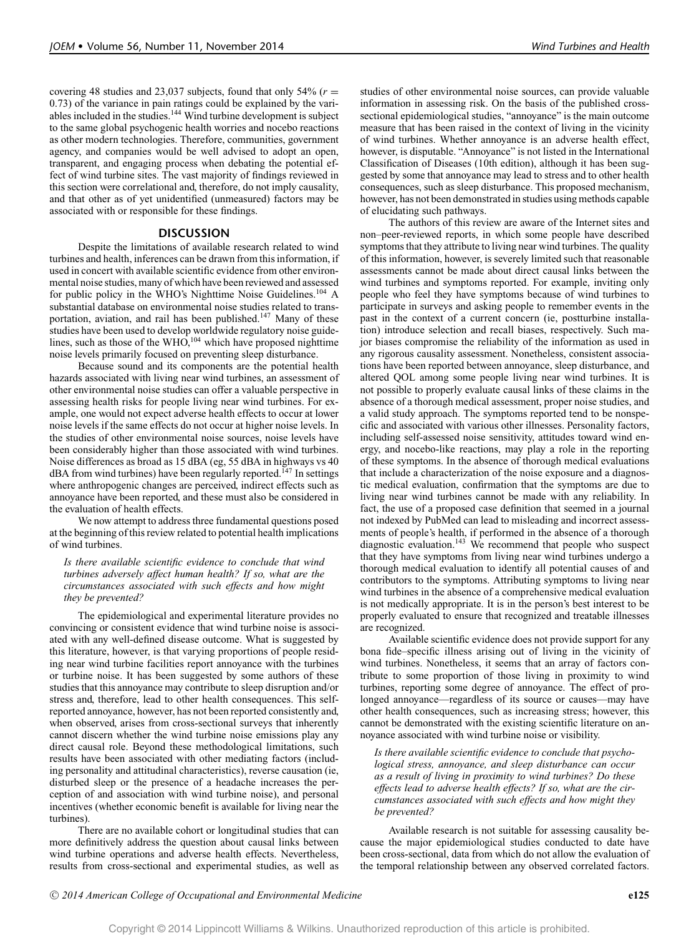covering 48 studies and 23,037 subjects, found that only 54% ( $r =$ 0.73) of the variance in pain ratings could be explained by the variables included in the studies.<sup>144</sup> Wind turbine development is subject to the same global psychogenic health worries and nocebo reactions as other modern technologies. Therefore, communities, government agency, and companies would be well advised to adopt an open, transparent, and engaging process when debating the potential effect of wind turbine sites. The vast majority of findings reviewed in this section were correlational and, therefore, do not imply causality, and that other as of yet unidentified (unmeasured) factors may be associated with or responsible for these findings.

# **DISCUSSION**

Despite the limitations of available research related to wind turbines and health, inferences can be drawn from this information, if used in concert with available scientific evidence from other environmental noise studies, many of which have been reviewed and assessed for public policy in the WHO's Nighttime Noise Guidelines.<sup>104</sup> A substantial database on environmental noise studies related to transportation, aviation, and rail has been published.147 Many of these studies have been used to develop worldwide regulatory noise guidelines, such as those of the WHO,<sup>104</sup> which have proposed nighttime noise levels primarily focused on preventing sleep disturbance.

Because sound and its components are the potential health hazards associated with living near wind turbines, an assessment of other environmental noise studies can offer a valuable perspective in assessing health risks for people living near wind turbines. For example, one would not expect adverse health effects to occur at lower noise levels if the same effects do not occur at higher noise levels. In the studies of other environmental noise sources, noise levels have been considerably higher than those associated with wind turbines. Noise differences as broad as 15 dBA (eg, 55 dBA in highways vs 40  $dBA$  from wind turbines) have been regularly reported.<sup>147</sup> In settings where anthropogenic changes are perceived, indirect effects such as annoyance have been reported, and these must also be considered in the evaluation of health effects.

We now attempt to address three fundamental questions posed at the beginning of this review related to potential health implications of wind turbines.

*Is there available scientific evidence to conclude that wind turbines adversely affect human health? If so, what are the circumstances associated with such effects and how might they be prevented?*

The epidemiological and experimental literature provides no convincing or consistent evidence that wind turbine noise is associated with any well-defined disease outcome. What is suggested by this literature, however, is that varying proportions of people residing near wind turbine facilities report annoyance with the turbines or turbine noise. It has been suggested by some authors of these studies that this annoyance may contribute to sleep disruption and/or stress and, therefore, lead to other health consequences. This selfreported annoyance, however, has not been reported consistently and, when observed, arises from cross-sectional surveys that inherently cannot discern whether the wind turbine noise emissions play any direct causal role. Beyond these methodological limitations, such results have been associated with other mediating factors (including personality and attitudinal characteristics), reverse causation (ie, disturbed sleep or the presence of a headache increases the perception of and association with wind turbine noise), and personal incentives (whether economic benefit is available for living near the turbines).

There are no available cohort or longitudinal studies that can more definitively address the question about causal links between wind turbine operations and adverse health effects. Nevertheless, results from cross-sectional and experimental studies, as well as

studies of other environmental noise sources, can provide valuable information in assessing risk. On the basis of the published crosssectional epidemiological studies, "annoyance" is the main outcome measure that has been raised in the context of living in the vicinity of wind turbines. Whether annoyance is an adverse health effect, however, is disputable. "Annoyance" is not listed in the International Classification of Diseases (10th edition), although it has been suggested by some that annoyance may lead to stress and to other health consequences, such as sleep disturbance. This proposed mechanism, however, has not been demonstrated in studies using methods capable of elucidating such pathways.

The authors of this review are aware of the Internet sites and non–peer-reviewed reports, in which some people have described symptoms that they attribute to living near wind turbines. The quality of this information, however, is severely limited such that reasonable assessments cannot be made about direct causal links between the wind turbines and symptoms reported. For example, inviting only people who feel they have symptoms because of wind turbines to participate in surveys and asking people to remember events in the past in the context of a current concern (ie, postturbine installation) introduce selection and recall biases, respectively. Such major biases compromise the reliability of the information as used in any rigorous causality assessment. Nonetheless, consistent associations have been reported between annoyance, sleep disturbance, and altered QOL among some people living near wind turbines. It is not possible to properly evaluate causal links of these claims in the absence of a thorough medical assessment, proper noise studies, and a valid study approach. The symptoms reported tend to be nonspecific and associated with various other illnesses. Personality factors, including self-assessed noise sensitivity, attitudes toward wind energy, and nocebo-like reactions, may play a role in the reporting of these symptoms. In the absence of thorough medical evaluations that include a characterization of the noise exposure and a diagnostic medical evaluation, confirmation that the symptoms are due to living near wind turbines cannot be made with any reliability. In fact, the use of a proposed case definition that seemed in a journal not indexed by PubMed can lead to misleading and incorrect assessments of people's health, if performed in the absence of a thorough diagnostic evaluation.<sup>143</sup> We recommend that people who suspect that they have symptoms from living near wind turbines undergo a thorough medical evaluation to identify all potential causes of and contributors to the symptoms. Attributing symptoms to living near wind turbines in the absence of a comprehensive medical evaluation is not medically appropriate. It is in the person's best interest to be properly evaluated to ensure that recognized and treatable illnesses are recognized.

Available scientific evidence does not provide support for any bona fide–specific illness arising out of living in the vicinity of wind turbines. Nonetheless, it seems that an array of factors contribute to some proportion of those living in proximity to wind turbines, reporting some degree of annoyance. The effect of prolonged annoyance—regardless of its source or causes—may have other health consequences, such as increasing stress; however, this cannot be demonstrated with the existing scientific literature on annoyance associated with wind turbine noise or visibility.

*Is there available scientific evidence to conclude that psychological stress, annoyance, and sleep disturbance can occur as a result of living in proximity to wind turbines? Do these effects lead to adverse health effects? If so, what are the circumstances associated with such effects and how might they be prevented?*

Available research is not suitable for assessing causality because the major epidemiological studies conducted to date have been cross-sectional, data from which do not allow the evaluation of the temporal relationship between any observed correlated factors.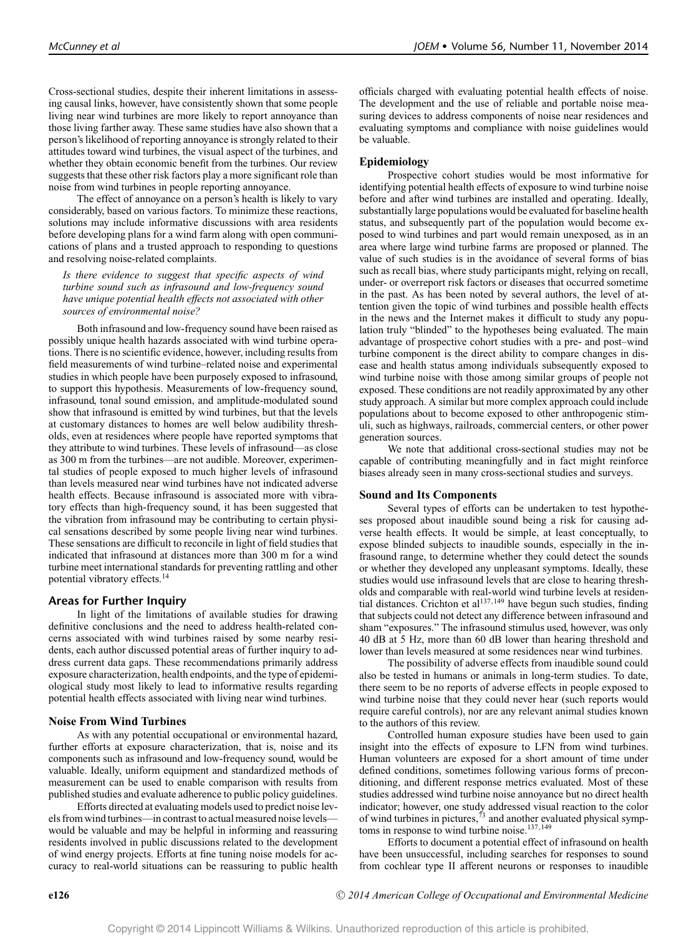Cross-sectional studies, despite their inherent limitations in assessing causal links, however, have consistently shown that some people living near wind turbines are more likely to report annoyance than those living farther away. These same studies have also shown that a person's likelihood of reporting annoyance is strongly related to their attitudes toward wind turbines, the visual aspect of the turbines, and whether they obtain economic benefit from the turbines. Our review suggests that these other risk factors play a more significant role than noise from wind turbines in people reporting annoyance.

The effect of annoyance on a person's health is likely to vary considerably, based on various factors. To minimize these reactions, solutions may include informative discussions with area residents before developing plans for a wind farm along with open communications of plans and a trusted approach to responding to questions and resolving noise-related complaints.

*Is there evidence to suggest that specific aspects of wind turbine sound such as infrasound and low-frequency sound have unique potential health effects not associated with other sources of environmental noise?*

Both infrasound and low-frequency sound have been raised as possibly unique health hazards associated with wind turbine operations. There is no scientific evidence, however, including results from field measurements of wind turbine–related noise and experimental studies in which people have been purposely exposed to infrasound, to support this hypothesis. Measurements of low-frequency sound, infrasound, tonal sound emission, and amplitude-modulated sound show that infrasound is emitted by wind turbines, but that the levels at customary distances to homes are well below audibility thresholds, even at residences where people have reported symptoms that they attribute to wind turbines. These levels of infrasound—as close as 300 m from the turbines—are not audible. Moreover, experimental studies of people exposed to much higher levels of infrasound than levels measured near wind turbines have not indicated adverse health effects. Because infrasound is associated more with vibratory effects than high-frequency sound, it has been suggested that the vibration from infrasound may be contributing to certain physical sensations described by some people living near wind turbines. These sensations are difficult to reconcile in light of field studies that indicated that infrasound at distances more than 300 m for a wind turbine meet international standards for preventing rattling and other potential vibratory effects.<sup>14</sup>

# **Areas for Further Inquiry**

In light of the limitations of available studies for drawing definitive conclusions and the need to address health-related concerns associated with wind turbines raised by some nearby residents, each author discussed potential areas of further inquiry to address current data gaps. These recommendations primarily address exposure characterization, health endpoints, and the type of epidemiological study most likely to lead to informative results regarding potential health effects associated with living near wind turbines.

# **Noise From Wind Turbines**

As with any potential occupational or environmental hazard, further efforts at exposure characterization, that is, noise and its components such as infrasound and low-frequency sound, would be valuable. Ideally, uniform equipment and standardized methods of measurement can be used to enable comparison with results from published studies and evaluate adherence to public policy guidelines.

Efforts directed at evaluating models used to predict noise levels from wind turbines—in contrast to actual measured noise levels would be valuable and may be helpful in informing and reassuring residents involved in public discussions related to the development of wind energy projects. Efforts at fine tuning noise models for accuracy to real-world situations can be reassuring to public health officials charged with evaluating potential health effects of noise. The development and the use of reliable and portable noise measuring devices to address components of noise near residences and evaluating symptoms and compliance with noise guidelines would be valuable.

# **Epidemiology**

Prospective cohort studies would be most informative for identifying potential health effects of exposure to wind turbine noise before and after wind turbines are installed and operating. Ideally, substantially large populations would be evaluated for baseline health status, and subsequently part of the population would become exposed to wind turbines and part would remain unexposed, as in an area where large wind turbine farms are proposed or planned. The value of such studies is in the avoidance of several forms of bias such as recall bias, where study participants might, relying on recall, under- or overreport risk factors or diseases that occurred sometime in the past. As has been noted by several authors, the level of attention given the topic of wind turbines and possible health effects in the news and the Internet makes it difficult to study any population truly "blinded" to the hypotheses being evaluated. The main advantage of prospective cohort studies with a pre- and post–wind turbine component is the direct ability to compare changes in disease and health status among individuals subsequently exposed to wind turbine noise with those among similar groups of people not exposed. These conditions are not readily approximated by any other study approach. A similar but more complex approach could include populations about to become exposed to other anthropogenic stimuli, such as highways, railroads, commercial centers, or other power generation sources.

We note that additional cross-sectional studies may not be capable of contributing meaningfully and in fact might reinforce biases already seen in many cross-sectional studies and surveys.

#### **Sound and Its Components**

Several types of efforts can be undertaken to test hypotheses proposed about inaudible sound being a risk for causing adverse health effects. It would be simple, at least conceptually, to expose blinded subjects to inaudible sounds, especially in the infrasound range, to determine whether they could detect the sounds or whether they developed any unpleasant symptoms. Ideally, these studies would use infrasound levels that are close to hearing thresholds and comparable with real-world wind turbine levels at residential distances. Crichton et al<sup>137,149</sup> have begun such studies, finding that subjects could not detect any difference between infrasound and sham "exposures." The infrasound stimulus used, however, was only 40 dB at 5 Hz, more than 60 dB lower than hearing threshold and lower than levels measured at some residences near wind turbines.

The possibility of adverse effects from inaudible sound could also be tested in humans or animals in long-term studies. To date, there seem to be no reports of adverse effects in people exposed to wind turbine noise that they could never hear (such reports would require careful controls), nor are any relevant animal studies known to the authors of this review.

Controlled human exposure studies have been used to gain insight into the effects of exposure to LFN from wind turbines. Human volunteers are exposed for a short amount of time under defined conditions, sometimes following various forms of preconditioning, and different response metrics evaluated. Most of these studies addressed wind turbine noise annoyance but no direct health indicator; however, one study addressed visual reaction to the color of wind turbines in pictures, $\bar{7}$ <sup>3</sup> and another evaluated physical symptoms in response to wind turbine noise. $137,149$ 

Efforts to document a potential effect of infrasound on health have been unsuccessful, including searches for responses to sound from cochlear type II afferent neurons or responses to inaudible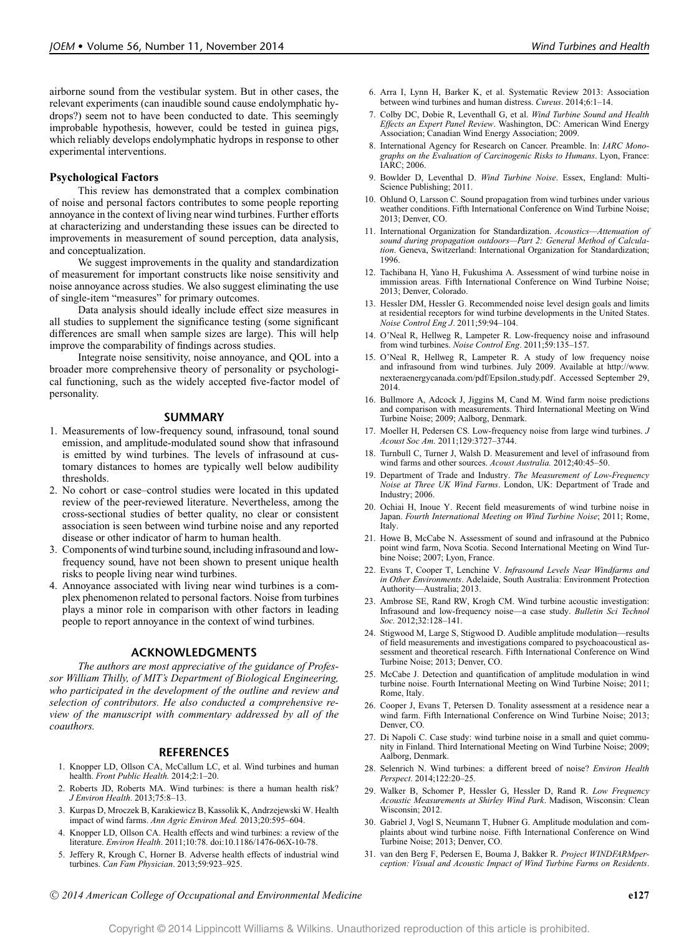airborne sound from the vestibular system. But in other cases, the relevant experiments (can inaudible sound cause endolymphatic hydrops?) seem not to have been conducted to date. This seemingly improbable hypothesis, however, could be tested in guinea pigs, which reliably develops endolymphatic hydrops in response to other experimental interventions.

#### **Psychological Factors**

This review has demonstrated that a complex combination of noise and personal factors contributes to some people reporting annoyance in the context of living near wind turbines. Further efforts at characterizing and understanding these issues can be directed to improvements in measurement of sound perception, data analysis, and conceptualization.

We suggest improvements in the quality and standardization of measurement for important constructs like noise sensitivity and noise annoyance across studies. We also suggest eliminating the use of single-item "measures" for primary outcomes.

Data analysis should ideally include effect size measures in all studies to supplement the significance testing (some significant differences are small when sample sizes are large). This will help improve the comparability of findings across studies.

Integrate noise sensitivity, noise annoyance, and QOL into a broader more comprehensive theory of personality or psychological functioning, such as the widely accepted five-factor model of personality.

#### **SUMMARY**

- 1. Measurements of low-frequency sound, infrasound, tonal sound emission, and amplitude-modulated sound show that infrasound is emitted by wind turbines. The levels of infrasound at customary distances to homes are typically well below audibility thresholds.
- 2. No cohort or case–control studies were located in this updated review of the peer-reviewed literature. Nevertheless, among the cross-sectional studies of better quality, no clear or consistent association is seen between wind turbine noise and any reported disease or other indicator of harm to human health.
- 3. Components of wind turbine sound, including infrasound and lowfrequency sound, have not been shown to present unique health risks to people living near wind turbines.
- 4. Annoyance associated with living near wind turbines is a complex phenomenon related to personal factors. Noise from turbines plays a minor role in comparison with other factors in leading people to report annoyance in the context of wind turbines.

#### **ACKNOWLEDGMENTS**

*The authors are most appreciative of the guidance of Professor William Thilly, of MIT's Department of Biological Engineering, who participated in the development of the outline and review and selection of contributors. He also conducted a comprehensive review of the manuscript with commentary addressed by all of the coauthors.*

#### **REFERENCES**

- 1. Knopper LD, Ollson CA, McCallum LC, et al. Wind turbines and human health. *Front Public Health.* 2014;2:1–20.
- 2. Roberts JD, Roberts MA. Wind turbines: is there a human health risk? *J Environ Health*. 2013;75:8–13.
- 3. Kurpas D, Mroczek B, Karakiewicz B, Kassolik K, Andrzejewski W. Health impact of wind farms. *Ann Agric Environ Med.* 2013;20:595–604.
- 4. Knopper LD, Ollson CA. Health effects and wind turbines: a review of the literature. *Environ Health*. 2011;10:78. doi:10.1186/1476-06X-10-78.
- 5. Jeffery R, Krough C, Horner B. Adverse health effects of industrial wind turbines. *Can Fam Physician*. 2013;59:923–925.
- 6. Arra I, Lynn H, Barker K, et al. Systematic Review 2013: Association between wind turbines and human distress. *Cureus*. 2014;6:1–14.
- 7. Colby DC, Dobie R, Leventhall G, et al. *Wind Turbine Sound and Health Effects an Expert Panel Review*. Washington, DC: American Wind Energy Association; Canadian Wind Energy Association; 2009.
- 8. International Agency for Research on Cancer. Preamble. In: *IARC Mono-graphs on the Evaluation of Carcinogenic Risks to Humans*. Lyon, France: IARC; 2006.
- 9. Bowlder D, Leventhal D. *Wind Turbine Noise*. Essex, England: Multi-Science Publishing; 2011.
- 10. Ohlund O, Larsson C. Sound propagation from wind turbines under various weather conditions. Fifth International Conference on Wind Turbine Noise; 2013; Denver, CO.
- 11. International Organization for Standardization. *Acoustics—Attenuation of sound during propagation outdoors—Part 2: General Method of Calculation*. Geneva, Switzerland: International Organization for Standardization; 1996.
- 12. Tachibana H, Yano H, Fukushima A. Assessment of wind turbine noise in immission areas. Fifth International Conference on Wind Turbine Noise; 2013; Denver, Colorado.
- 13. Hessler DM, Hessler G. Recommended noise level design goals and limits at residential receptors for wind turbine developments in the United States. *Noise Control Eng J*. 2011;59:94–104.
- 14. O'Neal R, Hellweg R, Lampeter R. Low-frequency noise and infrasound from wind turbines. *Noise Control Eng*. 2011;59:135–157.
- 15. O'Neal R, Hellweg R, Lampeter R. A study of low frequency noise and infrasound from wind turbines. July 2009. Available at [http://www.](http://www.nexteraenergycanada.com/pdf/Epsilon_study.pdf) [nexteraenergycanada.com/pdf/Epsilon](http://www.nexteraenergycanada.com/pdf/Epsilon_study.pdf) study.pdf. Accessed September 29, 2014.
- 16. Bullmore A, Adcock J, Jiggins M, Cand M. Wind farm noise predictions and comparison with measurements. Third International Meeting on Wind Turbine Noise; 2009; Aalborg, Denmark.
- 17. Moeller H, Pedersen CS. Low-frequency noise from large wind turbines. *J Acoust Soc Am.* 2011;129:3727–3744.
- 18. Turnbull C, Turner J, Walsh D. Measurement and level of infrasound from wind farms and other sources. *Acoust Australia.* 2012;40:45–50.
- 19. Department of Trade and Industry. *The Measurement of Low-Frequency Noise at Three UK Wind Farms*. London, UK: Department of Trade and Industry; 2006.
- 20. Ochiai H, Inoue Y. Recent field measurements of wind turbine noise in Japan. *Fourth International Meeting on Wind Turbine Noise*; 2011; Rome, Italy.
- 21. Howe B, McCabe N. Assessment of sound and infrasound at the Pubnico point wind farm, Nova Scotia. Second International Meeting on Wind Turbine Noise; 2007; Lyon, France.
- 22. Evans T, Cooper T, Lenchine V. *Infrasound Levels Near Windfarms and in Other Environments*. Adelaide, South Australia: Environment Protection Authority—Australia; 2013.
- 23. Ambrose SE, Rand RW, Krogh CM. Wind turbine acoustic investigation: Infrasound and low-frequency noise—a case study. *Bulletin Sci Technol Soc.* 2012;32:128–141.
- 24. Stigwood M, Large S, Stigwood D. Audible amplitude modulation—results of field measurements and investigations compared to psychoacoustical assessment and theoretical research. Fifth International Conference on Wind Turbine Noise; 2013; Denver, CO.
- 25. McCabe J. Detection and quantification of amplitude modulation in wind turbine noise. Fourth International Meeting on Wind Turbine Noise; 2011; Rome, Italy.
- 26. Cooper J, Evans T, Petersen D. Tonality assessment at a residence near a wind farm. Fifth International Conference on Wind Turbine Noise; 2013; Denver, CO.
- 27. Di Napoli C. Case study: wind turbine noise in a small and quiet community in Finland. Third International Meeting on Wind Turbine Noise; 2009; Aalborg, Denmark.
- 28. Selenrich N. Wind turbines: a different breed of noise? *Environ Health Perspect*. 2014;122:20–25.
- 29. Walker B, Schomer P, Hessler G, Hessler D, Rand R. *Low Frequency Acoustic Measurements at Shirley Wind Park*. Madison, Wisconsin: Clean Wisconsin; 2012.
- 30. Gabriel J, Vogl S, Neumann T, Hubner G. Amplitude modulation and complaints about wind turbine noise. Fifth International Conference on Wind Turbine Noise; 2013; Denver, CO.
- 31. van den Berg F, Pedersen E, Bouma J, Bakker R. *Project WINDFARMperception: Visual and Acoustic Impact of Wind Turbine Farms on Residents*.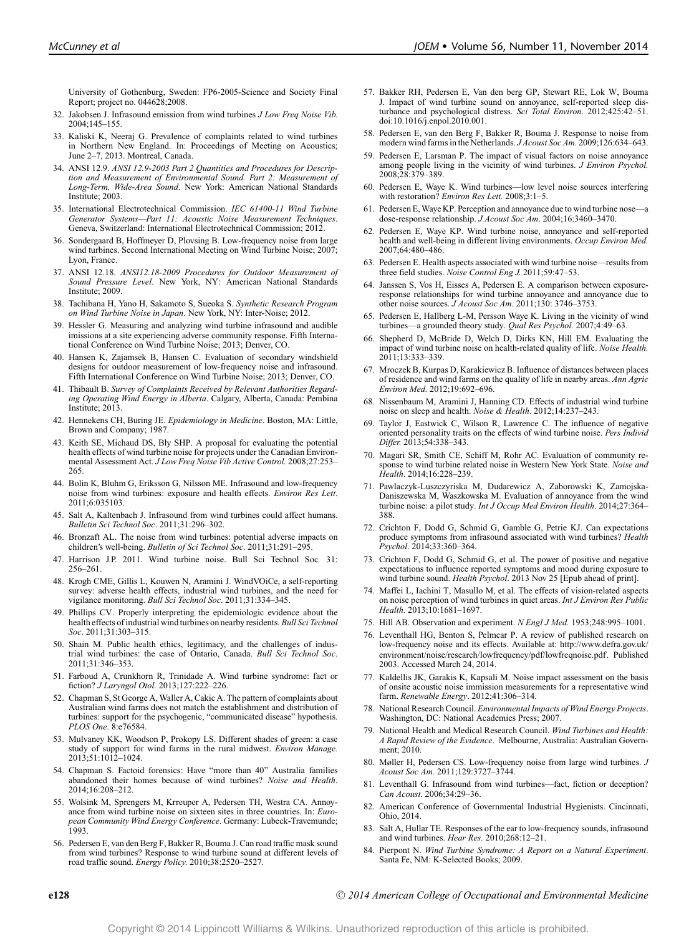University of Gothenburg, Sweden: FP6-2005-Science and Society Final Report; project no. 044628;2008.

- 32. Jakobsen J. Infrasound emission from wind turbines *J Low Freq Noise Vib.* 2004;145–155.
- 33. Kaliski K, Neeraj G. Prevalence of complaints related to wind turbines in Northern New England. In: Proceedings of Meeting on Acoustics; June 2–7, 2013. Montreal, Canada.
- 34. ANSI 12.9. *ANSI 12.9-2003 Part 2 Quantities and Procedures for Description and Measurement of Environmental Sound. Part 2: Measurement of Long-Term, Wide-Area Sound*. New York: American National Standards Institute; 2003.
- 35. International Electrotechnical Commission. *IEC 61400-11 Wind Turbine Generator Systems—Part 11: Acoustic Noise Measurement Techniques*. Geneva, Switzerland: International Electrotechnical Commission; 2012.
- 36. Sondergaard B, Hoffmeyer D, Plovsing B. Low-frequency noise from large wind turbines. Second International Meeting on Wind Turbine Noise; 2007; Lyon, France.
- 37. ANSI 12.18. *ANSI12.18-2009 Procedures for Outdoor Measurement of Sound Pressure Level*. New York, NY: American National Standards Institute; 2009.
- 38. Tachibana H, Yano H, Sakamoto S, Sueoka S. *Synthetic Research Program on Wind Turbine Noise in Japan*. New York, NY: Inter-Noise; 2012.
- 39. Hessler G. Measuring and analyzing wind turbine infrasound and audible imissions at a site experiencing adverse community response. Fifth International Conference on Wind Turbine Noise; 2013; Denver, CO.
- Hansen K, Zajamsek B, Hansen C. Evaluation of secondary windshield designs for outdoor measurement of low-frequency noise and infrasound. Fifth International Conference on Wind Turbine Noise; 2013; Denver, CO.
- 41. Thibault B. *Survey of Complaints Received by Relevant Authorities Regarding Operating Wind Energy in Alberta*. Calgary, Alberta, Canada: Pembina Institute; 2013.
- 42. Hennekens CH, Buring JE. *Epidemiology in Medicine*. Boston, MA: Little, Brown and Company; 1987.
- 43. Keith SE, Michaud DS, Bly SHP. A proposal for evaluating the potential health effects of wind turbine noise for projects under the Canadian Environmental Assessment Act. *J Low Freq Noise Vib Active Control.* 2008;27:253– 265.
- 44. Bolin K, Bluhm G, Eriksson G, Nilsson ME. Infrasound and low-frequency noise from wind turbines: exposure and health effects. *Environ Res Lett*. 2011;6:035103.
- 45. Salt A, Kaltenbach J. Infrasound from wind turbines could affect humans. *Bulletin Sci Technol Soc*. 2011;31:296–302.
- 46. Bronzaft AL. The noise from wind turbines: potential adverse impacts on children's well-being. *Bulletin of Sci Technol Soc*. 2011;31:291–295.
- 47. Harrison J.P. 2011. Wind turbine noise. Bull Sci Technol Soc*.* 31: 256–261.
- 48. Krogh CME, Gillis L, Kouwen N, Aramini J. WindVOiCe, a self-reporting survey: adverse health effects, industrial wind turbines, and the need for vigilance monitoring. *Bull Sci Technol Soc*. 2011;31:334–345.
- 49. Phillips CV. Properly interpreting the epidemiologic evidence about the health effects of industrial wind turbines on nearby residents. *Bull Sci Technol Soc*. 2011;31:303–315.
- 50. Shain M. Public health ethics, legitimacy, and the challenges of industrial wind turbines: the case of Ontario, Canada. *Bull Sci Technol Soc*. 2011;31:346–353.
- 51. Farboud A, Crunkhorn R, Trinidade A. Wind turbine syndrome: fact or fiction? *J Laryngol Otol.* 2013;127:222–226.
- 52. Chapman S, St George A, Waller A, Cakic A. The pattern of complaints about Australian wind farms does not match the establishment and distribution of turbines: support for the psychogenic, "communicated disease" hypothesis. *PLOS One*. 8:e76584.
- 53. Mulvaney KK, Woodson P, Prokopy LS. Different shades of green: a case study of support for wind farms in the rural midwest. *Environ Manage.* 2013;51:1012–1024.
- 54. Chapman S. Factoid forensics: Have "more than 40" Australia families abandoned their homes because of wind turbines? *Noise and Health*. 2014;16:208–212.
- 55. Wolsink M, Sprengers M, Krreuper A, Pedersen TH, Westra CA. Annoyance from wind turbine noise on sixteen sites in three countries. In: *European Community Wind Energy Conference*. Germany: Lubeck-Travemunde; 1993.
- 56. Pedersen E, van den Berg F, Bakker R, Bouma J. Can road traffic mask sound from wind turbines? Response to wind turbine sound at different levels of road traffic sound. *Energy Policy.* 2010;38:2520–2527.
- 57. Bakker RH, Pedersen E, Van den berg GP, Stewart RE, Lok W, Bouma J. Impact of wind turbine sound on annoyance, self-reported sleep disturbance and psychological distress. *Sci Total Environ*. 2012;425:42–51. doi:10.1016/j.enpol.2010.001.
- 58. Pedersen E, van den Berg F, Bakker R, Bouma J. Response to noise from modern wind farms in the Netherlands. *J Acoust Soc Am.* 2009;126:634–643.
- 59. Pedersen E, Larsman P. The impact of visual factors on noise annoyance among people living in the vicinity of wind turbines. *J Environ Psychol.* 2008;28:379–389.
- 60. Pedersen E, Waye K. Wind turbines—low level noise sources interfering with restoration? *Environ Res Lett.* 2008;3:1–5.
- 61. Pedersen E, Waye KP. Perception and annoyance due to wind turbine nose—a dose-response relationship. *J Acoust Soc Am*. 2004;16:3460–3470.
- 62. Pedersen E, Waye KP. Wind turbine noise, annoyance and self-reported health and well-being in different living environments. *Occup Environ Med.* 2007;64:480–486.
- 63. Pedersen E. Health aspects associated with wind turbine noise—results from three field studies. *Noise Control Eng J.* 2011;59:47–53.
- 64. Janssen S, Vos H, Eisses A, Pedersen E. A comparison between exposureresponse relationships for wind turbine annoyance and annoyance due to other noise sources. *J Acoust Soc Am*. 2011;130: 3746–3753.
- 65. Pedersen E, Hallberg L-M, Persson Waye K. Living in the vicinity of wind turbines—a grounded theory study. *Qual Res Psychol.* 2007;4:49–63.
- 66. Shepherd D, McBride D, Welch D, Dirks KN, Hill EM. Evaluating the impact of wind turbine noise on health-related quality of life. *Noise Health.* 2011;13:333–339.
- 67. Mroczek B, Kurpas D, Karakiewicz B. Influence of distances between places of residence and wind farms on the quality of life in nearby areas. *Ann Agric Environ Med.* 2012;19:692–696.
- 68. Nissenbaum M, Aramini J, Hanning CD. Effects of industrial wind turbine noise on sleep and health. *Noise & Health*. 2012;14:237–243.
- 69. Taylor J, Eastwick C, Wilson R, Lawrence C. The influence of negative oriented personality traits on the effects of wind turbine noise. *Pers Individ Differ.* 2013;54:338–343.
- 70. Magari SR, Smith CE, Schiff M, Rohr AC. Evaluation of community response to wind turbine related noise in Western New York State. *Noise and Health*. 2014;16:228–239.
- 71. Pawlaczyk-Luszczyriska M, Dudarewicz A, Zaborowski K, Zamojska-Daniszewska M, Waszkowska M. Evaluation of annoyance from the wind turbine noise: a pilot study. *Int J Occup Med Environ Health*. 2014;27:364– 388.
- 72. Crichton F, Dodd G, Schmid G, Gamble G, Petrie KJ. Can expectations produce symptoms from infrasound associated with wind turbines? *Health Psychol*. 2014;33:360–364.
- 73. Crichton F, Dodd G, Schmid G, et al. The power of positive and negative expectations to influence reported symptoms and mood during exposure to wind turbine sound. *Health Psychol*. 2013 Nov 25 [Epub ahead of print].
- 74. Maffei L, Iachini T, Masullo M, et al. The effects of vision-related aspects on noise perception of wind turbines in quiet areas. *Int J Environ Res Public Health.* 2013;10:1681–1697.
- 75. Hill AB. Observation and experiment. *N Engl J Med.* 1953;248:995–1001.
- 76. Leventhall HG, Benton S, Pelmear P. A review of published research on low-frequency noise and its effects. Available at: [http://www.defra.gov.uk/](http://www.defra.gov.uk/environment/noise/research/lowfrequency/pdf/lowfreqnoise.pdf) [environment/noise/research/lowfrequency/pdf/lowfreqnoise.pdf.](http://www.defra.gov.uk/environment/noise/research/lowfrequency/pdf/lowfreqnoise.pdf) Published 2003. Accessed March 24, 2014.
- 77. Kaldellis JK, Garakis K, Kapsali M. Noise impact assessment on the basis of onsite acoustic noise immission measurements for a representative wind farm. *Renewable Energy*. 2012;41:306–314.
- 78. National Research Council. *Environmental Impacts of Wind Energy Projects*. Washington, DC: National Academies Press; 2007.
- 79. National Health and Medical Research Council. *Wind Turbines and Health: A Rapid Review of the Evidence*. Melbourne, Australia: Australian Government; 2010.
- 80. Møller H, Pedersen CS. Low-frequency noise from large wind turbines. *J Acoust Soc Am.* 2011;129:3727–3744.
- 81. Leventhall G. Infrasound from wind turbines—fact, fiction or deception? *Can Acoust.* 2006;34:29–36.
- 82. American Conference of Governmental Industrial Hygienists. Cincinnati, Ohio, 2014.
- 83. Salt A, Hullar TE. Responses of the ear to low-frequency sounds, infrasound and wind turbines. *Hear Res.* 2010;268:12–21.
- 84. Pierpont N. *Wind Turbine Syndrome: A Report on a Natural Experiment*. Santa Fe, NM: K-Selected Books; 2009.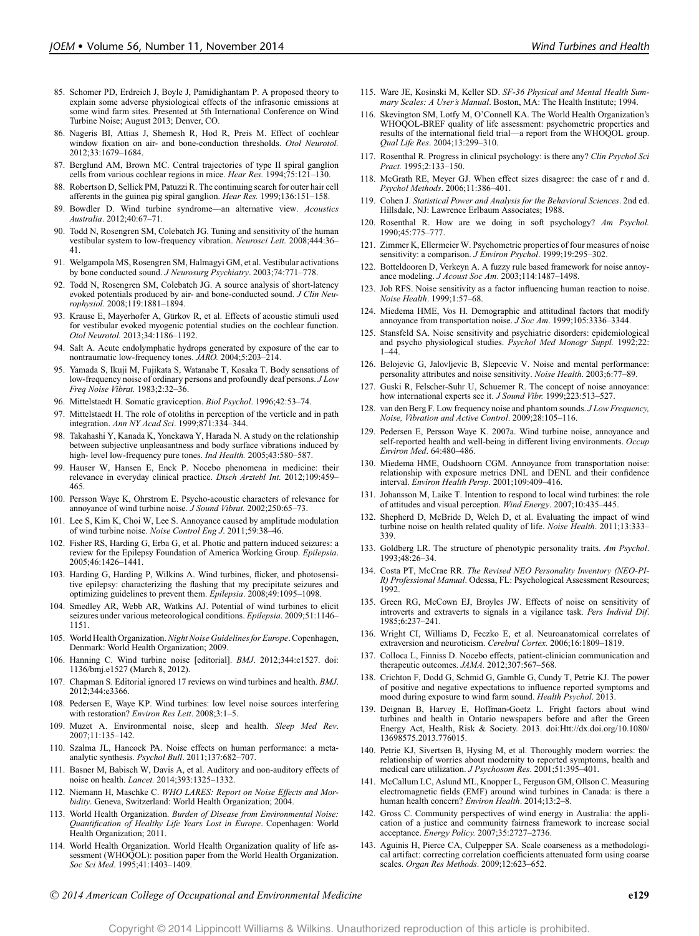- 85. Schomer PD, Erdreich J, Boyle J, Pamidighantam P. A proposed theory to explain some adverse physiological effects of the infrasonic emissions at some wind farm sites. Presented at 5th International Conference on Wind Turbine Noise; August 2013; Denver, CO.
- 86. Nageris BI, Attias J, Shemesh R, Hod R, Preis M. Effect of cochlear window fixation on air- and bone-conduction thresholds. *Otol Neurotol.* 2012;33:1679–1684.
- 87. Berglund AM, Brown MC. Central trajectories of type II spiral ganglion cells from various cochlear regions in mice. *Hear Res.* 1994;75:121–130.
- 88. Robertson D, Sellick PM, Patuzzi R. The continuing search for outer hair cell afferents in the guinea pig spiral ganglion. *Hear Res.* 1999;136:151–158.
- 89. Bowdler D. Wind turbine syndrome—an alternative view. *Acoustics Australia*. 2012;40:67–71.
- 90. Todd N, Rosengren SM, Colebatch JG. Tuning and sensitivity of the human vestibular system to low-frequency vibration. *Neurosci Lett.* 2008;444:36– 41.
- 91. Welgampola MS, Rosengren SM, Halmagyi GM, et al. Vestibular activations by bone conducted sound. *J Neurosurg Psychiatry*. 2003;74:771–778.
- 92. Todd N, Rosengren SM, Colebatch JG. A source analysis of short-latency evoked potentials produced by air- and bone-conducted sound. *J Clin Neurophysiol.* 2008;119:1881–1894.
- 93. Krause E, Mayerhofer A, Gürkov R, et al. Effects of acoustic stimuli used for vestibular evoked myogenic potential studies on the cochlear function. *Otol Neurotol.* 2013;34:1186–1192.
- 94. Salt A. Acute endolymphatic hydrops generated by exposure of the ear to nontraumatic low-frequency tones. *JARO.* 2004;5:203–214.
- 95. Yamada S, Ikuji M, Fujikata S, Watanabe T, Kosaka T. Body sensations of low-frequency noise of ordinary persons and profoundly deaf persons. *J Low Freq Noise Vibrat.* 1983;2:32–36.
- 96. Mittelstaedt H. Somatic graviception. *Biol Psychol*. 1996;42:53–74.
- 97. Mittelstaedt H. The role of otoliths in perception of the verticle and in path integration. *Ann NY Acad Sci*. 1999;871:334–344.
- Takahashi Y, Kanada K, Yonekawa Y, Harada N. A study on the relationship between subjective unpleasantness and body surface vibrations induced by high- level low-frequency pure tones. *Ind Health.* 2005;43:580–587.
- 99. Hauser W, Hansen E, Enck P. Nocebo phenomena in medicine: their relevance in everyday clinical practice. *Dtsch Arztebl Int.* 2012;109:459– 465.
- 100. Persson Waye K, Ohrstrom E. Psycho-acoustic characters of relevance for annoyance of wind turbine noise. *J Sound Vibrat.* 2002;250:65–73.
- 101. Lee S, Kim K, Choi W, Lee S. Annoyance caused by amplitude modulation of wind turbine noise. *Noise Control Eng J*. 2011;59:38–46.
- 102. Fisher RS, Harding G, Erba G, et al. Photic and pattern induced seizures: a review for the Epilepsy Foundation of America Working Group. *Epilepsia*. 2005;46:1426–1441.
- 103. Harding G, Harding P, Wilkins A. Wind turbines, flicker, and photosensitive epilepsy: characterizing the flashing that my precipitate seizures and optimizing guidelines to prevent them. *Epilepsia*. 2008;49:1095–1098.
- 104. Smedley AR, Webb AR, Watkins AJ. Potential of wind turbines to elicit seizures under various meteorological conditions. *Epilepsia*. 2009;51:1146– 1151.
- 105. World Health Organization.*Night Noise Guidelines for Europe*. Copenhagen, Denmark: World Health Organization; 2009.
- 106. Hanning C. Wind turbine noise [editorial]. *BMJ*. 2012;344:e1527. doi: 1136/bmj.e1527 (March 8, 2012).
- 107. Chapman S. Editorial ignored 17 reviews on wind turbines and health. *BMJ*. 2012;344:e3366.
- 108. Pedersen E, Waye KP. Wind turbines: low level noise sources interfering with restoration? *Environ Res Lett*. 2008;3:1–5.
- 109. Muzet A. Environmental noise, sleep and health. *Sleep Med Rev*. 2007;11:135–142.
- 110. Szalma JL, Hancock PA. Noise effects on human performance: a metaanalytic synthesis. *Psychol Bull*. 2011;137:682–707.
- 111. Basner M, Babisch W, Davis A, et al. Auditory and non-auditory effects of noise on health. *Lancet.* 2014;393:1325–1332.
- 112. Niemann H, Maschke C. *WHO LARES: Report on Noise Effects and Morbidity*. Geneva, Switzerland: World Health Organization; 2004.
- 113. World Health Organization. *Burden of Disease from Environmental Noise: Quantification of Healthy Life Years Lost in Europe*. Copenhagen: World Health Organization; 2011.
- 114. World Health Organization. World Health Organization quality of life assessment (WHOQOL): position paper from the World Health Organization. *Soc Sci Med*. 1995;41:1403–1409.
- 115. Ware JE, Kosinski M, Keller SD. *SF-36 Physical and Mental Health Summary Scales: A User's Manual*. Boston, MA: The Health Institute; 1994.
- 116. Skevington SM, Lotfy M, O'Connell KA. The World Health Organization's WHOQOL-BREF quality of life assessment: psychometric properties and results of the international field trial—a report from the WHOQOL group. *Qual Life Res*. 2004;13:299–310.
- 117. Rosenthal R. Progress in clinical psychology: is there any? *Clin Psychol Sci Pract.* 1995;2:133–150.
- 118. McGrath RE, Meyer GJ. When effect sizes disagree: the case of r and d. *Psychol Methods*. 2006;11:386–401.
- 119. Cohen J. *Statistical Power and Analysis for the Behavioral Sciences*. 2nd ed. Hillsdale, NJ: Lawrence Erlbaum Associates; 1988.
- 120. Rosenthal R. How are we doing in soft psychology? *Am Psychol.* 1990;45:775–777.
- 121. Zimmer K, Ellermeier W. Psychometric properties of four measures of noise sensitivity: a comparison. *J Environ Psychol*. 1999;19:295–302.
- 122. Botteldooren D, Verkeyn A. A fuzzy rule based framework for noise annoyance modeling. *J Acoust Soc Am*. 2003;114:1487–1498.
- 123. Job RFS. Noise sensitivity as a factor influencing human reaction to noise. *Noise Health*. 1999;1:57–68.
- 124. Miedema HME, Vos H. Demographic and attitudinal factors that modify annoyance from transportation noise. *J Soc Am*. 1999;105:3336–3344.
- 125. Stansfeld SA. Noise sensitivity and psychiatric disorders: epidemiological and psycho physiological studies. *Psychol Med Monogr Suppl.* 1992;22:  $1-44.$
- 126. Belojevic G, Jalovljevic B, Slepcevic V. Noise and mental performance: personality attributes and noise sensitivity. *Noise Health*. 2003;6:77–89.
- 127. Guski R, Felscher-Suhr U, Schuemer R. The concept of noise annoyance: how international experts see it. *J Sound Vibr.* 1999;223:513-527.
- 128. van den Berg F. Low frequency noise and phantom sounds. *J Low Frequency, Noise, Vibration and Active Control*. 2009;28:105–116.
- 129. Pedersen E, Persson Waye K. 2007a. Wind turbine noise, annoyance and self-reported health and well-being in different living environments. *Occup Environ Med*. 64:480–486.
- 130. Miedema HME, Oudshoorn CGM. Annoyance from transportation noise: relationship with exposure metrics DNL and DENL and their confidence interval. *Environ Health Persp*. 2001;109:409–416.
- 131. Johansson M, Laike T. Intention to respond to local wind turbines: the role of attitudes and visual perception. *Wind Energy*. 2007;10:435–445.
- 132. Shepherd D, McBride D, Welch D, et al. Evaluating the impact of wind turbine noise on health related quality of life. *Noise Health*. 2011;13:333– 339.
- 133. Goldberg LR. The structure of phenotypic personality traits. *Am Psychol*. 1993;48:26–34.
- 134. Costa PT, McCrae RR. *The Revised NEO Personality Inventory (NEO-PI-R) Professional Manual*. Odessa, FL: Psychological Assessment Resources; 1992.
- 135. Green RG, McCown EJ, Broyles JW. Effects of noise on sensitivity of introverts and extraverts to signals in a vigilance task. *Pers Individ Dif*. 1985;6:237–241.
- 136. Wright CI, Williams D, Feczko E, et al. Neuroanatomical correlates of extraversion and neuroticism. *Cerebral Cortex.* 2006;16:1809–1819.
- 137. Colloca L, Finniss D. Nocebo effects, patient-clinician communication and therapeutic outcomes. *JAMA.* 2012;307:567–568.
- 138. Crichton F, Dodd G, Schmid G, Gamble G, Cundy T, Petrie KJ. The power of positive and negative expectations to influence reported symptoms and mood during exposure to wind farm sound. *Health Psychol*. 2013.
- 139. Deignan B, Harvey E, Hoffman-Goetz L. Fright factors about wind turbines and health in Ontario newspapers before and after the Green Energy Act, Health, Risk & Society. 2013. doi:Htt://dx.doi.org/10.1080/ 13698575.2013.776015.
- 140. Petrie KJ, Sivertsen B, Hysing M, et al. Thoroughly modern worries: the relationship of worries about modernity to reported symptoms, health and medical care utilization. *J Psychosom Res*. 2001;51:395–401.
- 141. McCallum LC, Aslund ML, Knopper L, Ferguson GM, Ollson C. Measuring electromagnetic fields (EMF) around wind turbines in Canada: is there a human health concern? *Environ Health*. 2014;13:2–8.
- 142. Gross C. Community perspectives of wind energy in Australia: the application of a justice and community fairness framework to increase social acceptance. *Energy Policy.* 2007;35:2727–2736.
- 143. Aguinis H, Pierce CA, Culpepper SA. Scale coarseness as a methodological artifact: correcting correlation coefficients attenuated form using coarse scales. *Organ Res Methods*. 2009;12:623–652.
- -<sup>C</sup> *2014 American College of Occupational and Environmental Medicine* **e129**